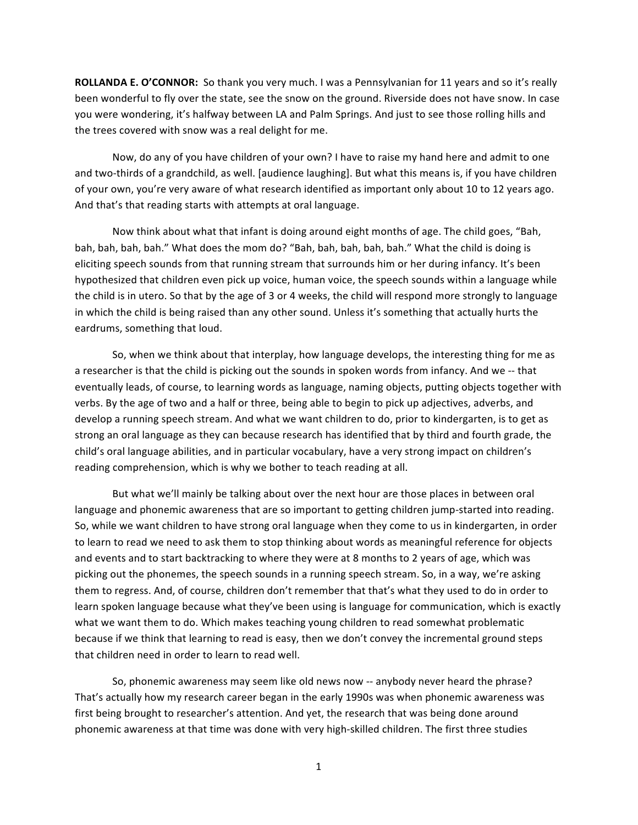**ROLLANDA E. O'CONNOR:** So thank you very much. I was a Pennsylvanian for 11 years and so it's really been wonderful to fly over the state, see the snow on the ground. Riverside does not have snow. In case you were wondering, it's halfway between LA and Palm Springs. And just to see those rolling hills and the trees covered with snow was a real delight for me.

Now, do any of you have children of your own? I have to raise my hand here and admit to one and two-thirds of a grandchild, as well. [audience laughing]. But what this means is, if you have children of your own, you're very aware of what research identified as important only about 10 to 12 years ago. And that's that reading starts with attempts at oral language.

Now think about what that infant is doing around eight months of age. The child goes, "Bah, bah, bah, bah, bah." What does the mom do? "Bah, bah, bah, bah, bah." What the child is doing is eliciting speech sounds from that running stream that surrounds him or her during infancy. It's been hypothesized that children even pick up voice, human voice, the speech sounds within a language while the child is in utero. So that by the age of 3 or 4 weeks, the child will respond more strongly to language in which the child is being raised than any other sound. Unless it's something that actually hurts the eardrums, something that loud.

So, when we think about that interplay, how language develops, the interesting thing for me as a researcher is that the child is picking out the sounds in spoken words from infancy. And we -- that eventually leads, of course, to learning words as language, naming objects, putting objects together with verbs. By the age of two and a half or three, being able to begin to pick up adjectives, adverbs, and develop a running speech stream. And what we want children to do, prior to kindergarten, is to get as strong an oral language as they can because research has identified that by third and fourth grade, the child's oral language abilities, and in particular vocabulary, have a very strong impact on children's reading comprehension, which is why we bother to teach reading at all.

But what we'll mainly be talking about over the next hour are those places in between oral language and phonemic awareness that are so important to getting children jump-started into reading. So, while we want children to have strong oral language when they come to us in kindergarten, in order to learn to read we need to ask them to stop thinking about words as meaningful reference for objects and events and to start backtracking to where they were at 8 months to 2 years of age, which was picking out the phonemes, the speech sounds in a running speech stream. So, in a way, we're asking them to regress. And, of course, children don't remember that that's what they used to do in order to learn spoken language because what they've been using is language for communication, which is exactly what we want them to do. Which makes teaching young children to read somewhat problematic because if we think that learning to read is easy, then we don't convey the incremental ground steps that children need in order to learn to read well.

So, phonemic awareness may seem like old news now -- anybody never heard the phrase? That's actually how my research career began in the early 1990s was when phonemic awareness was first being brought to researcher's attention. And yet, the research that was being done around phonemic awareness at that time was done with very high-skilled children. The first three studies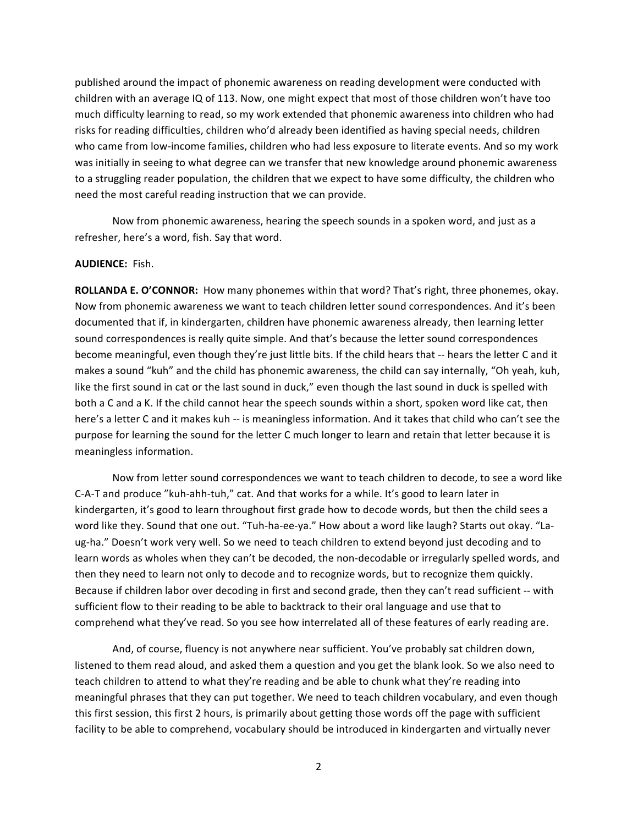published around the impact of phonemic awareness on reading development were conducted with children with an average IQ of 113. Now, one might expect that most of those children won't have too much difficulty learning to read, so my work extended that phonemic awareness into children who had risks for reading difficulties, children who'd already been identified as having special needs, children who came from low-income families, children who had less exposure to literate events. And so my work was initially in seeing to what degree can we transfer that new knowledge around phonemic awareness to a struggling reader population, the children that we expect to have some difficulty, the children who need the most careful reading instruction that we can provide.

Now from phonemic awareness, hearing the speech sounds in a spoken word, and just as a refresher, here's a word, fish. Say that word.

### **AUDIENCE:** Fish.

**ROLLANDA E. O'CONNOR:** How many phonemes within that word? That's right, three phonemes, okay. Now from phonemic awareness we want to teach children letter sound correspondences. And it's been documented that if, in kindergarten, children have phonemic awareness already, then learning letter sound correspondences is really quite simple. And that's because the letter sound correspondences become meaningful, even though they're just little bits. If the child hears that -- hears the letter C and it makes a sound "kuh" and the child has phonemic awareness, the child can say internally, "Oh yeah, kuh, like the first sound in cat or the last sound in duck," even though the last sound in duck is spelled with both a C and a K. If the child cannot hear the speech sounds within a short, spoken word like cat, then here's a letter C and it makes kuh -- is meaningless information. And it takes that child who can't see the purpose for learning the sound for the letter C much longer to learn and retain that letter because it is meaningless information.

Now from letter sound correspondences we want to teach children to decode, to see a word like C-A-T and produce "kuh-ahh-tuh," cat. And that works for a while. It's good to learn later in kindergarten, it's good to learn throughout first grade how to decode words, but then the child sees a word like they. Sound that one out. "Tuh-ha-ee-ya." How about a word like laugh? Starts out okay. "Laug-ha." Doesn't work very well. So we need to teach children to extend beyond just decoding and to learn words as wholes when they can't be decoded, the non-decodable or irregularly spelled words, and then they need to learn not only to decode and to recognize words, but to recognize them quickly. Because if children labor over decoding in first and second grade, then they can't read sufficient -- with sufficient flow to their reading to be able to backtrack to their oral language and use that to comprehend what they've read. So you see how interrelated all of these features of early reading are.

And, of course, fluency is not anywhere near sufficient. You've probably sat children down, listened to them read aloud, and asked them a question and you get the blank look. So we also need to teach children to attend to what they're reading and be able to chunk what they're reading into meaningful phrases that they can put together. We need to teach children vocabulary, and even though this first session, this first 2 hours, is primarily about getting those words off the page with sufficient facility to be able to comprehend, vocabulary should be introduced in kindergarten and virtually never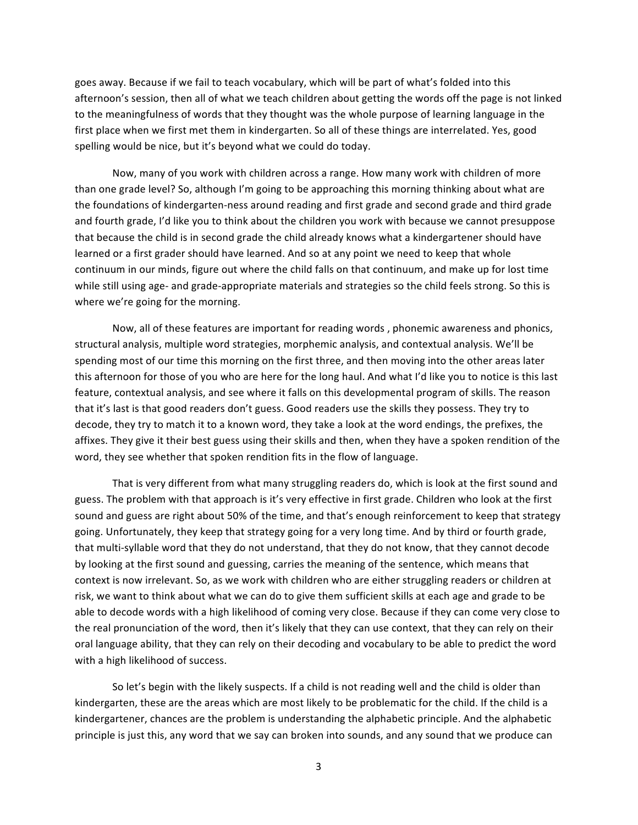goes away. Because if we fail to teach vocabulary, which will be part of what's folded into this afternoon's session, then all of what we teach children about getting the words off the page is not linked to the meaningfulness of words that they thought was the whole purpose of learning language in the first place when we first met them in kindergarten. So all of these things are interrelated. Yes, good spelling would be nice, but it's beyond what we could do today.

Now, many of you work with children across a range. How many work with children of more than one grade level? So, although I'm going to be approaching this morning thinking about what are the foundations of kindergarten-ness around reading and first grade and second grade and third grade and fourth grade, I'd like you to think about the children you work with because we cannot presuppose that because the child is in second grade the child already knows what a kindergartener should have learned or a first grader should have learned. And so at any point we need to keep that whole continuum in our minds, figure out where the child falls on that continuum, and make up for lost time while still using age- and grade-appropriate materials and strategies so the child feels strong. So this is where we're going for the morning.

Now, all of these features are important for reading words, phonemic awareness and phonics, structural analysis, multiple word strategies, morphemic analysis, and contextual analysis. We'll be spending most of our time this morning on the first three, and then moving into the other areas later this afternoon for those of you who are here for the long haul. And what I'd like you to notice is this last feature, contextual analysis, and see where it falls on this developmental program of skills. The reason that it's last is that good readers don't guess. Good readers use the skills they possess. They try to decode, they try to match it to a known word, they take a look at the word endings, the prefixes, the affixes. They give it their best guess using their skills and then, when they have a spoken rendition of the word, they see whether that spoken rendition fits in the flow of language.

That is very different from what many struggling readers do, which is look at the first sound and guess. The problem with that approach is it's very effective in first grade. Children who look at the first sound and guess are right about 50% of the time, and that's enough reinforcement to keep that strategy going. Unfortunately, they keep that strategy going for a very long time. And by third or fourth grade, that multi-syllable word that they do not understand, that they do not know, that they cannot decode by looking at the first sound and guessing, carries the meaning of the sentence, which means that context is now irrelevant. So, as we work with children who are either struggling readers or children at risk, we want to think about what we can do to give them sufficient skills at each age and grade to be able to decode words with a high likelihood of coming very close. Because if they can come very close to the real pronunciation of the word, then it's likely that they can use context, that they can rely on their oral language ability, that they can rely on their decoding and vocabulary to be able to predict the word with a high likelihood of success.

So let's begin with the likely suspects. If a child is not reading well and the child is older than kindergarten, these are the areas which are most likely to be problematic for the child. If the child is a kindergartener, chances are the problem is understanding the alphabetic principle. And the alphabetic principle is just this, any word that we say can broken into sounds, and any sound that we produce can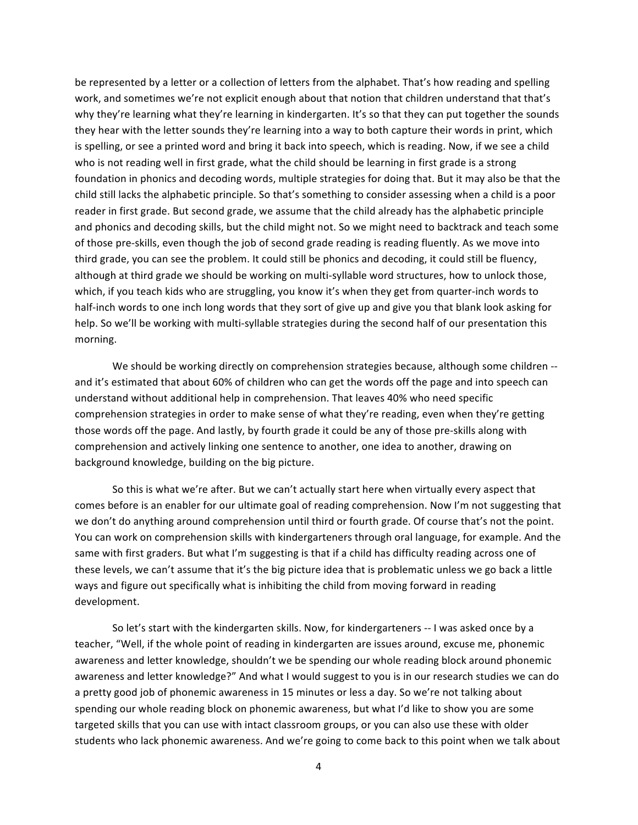be represented by a letter or a collection of letters from the alphabet. That's how reading and spelling work, and sometimes we're not explicit enough about that notion that children understand that that's why they're learning what they're learning in kindergarten. It's so that they can put together the sounds they hear with the letter sounds they're learning into a way to both capture their words in print, which is spelling, or see a printed word and bring it back into speech, which is reading. Now, if we see a child who is not reading well in first grade, what the child should be learning in first grade is a strong foundation in phonics and decoding words, multiple strategies for doing that. But it may also be that the child still lacks the alphabetic principle. So that's something to consider assessing when a child is a poor reader in first grade. But second grade, we assume that the child already has the alphabetic principle and phonics and decoding skills, but the child might not. So we might need to backtrack and teach some of those pre-skills, even though the job of second grade reading is reading fluently. As we move into third grade, you can see the problem. It could still be phonics and decoding, it could still be fluency, although at third grade we should be working on multi-syllable word structures, how to unlock those, which, if you teach kids who are struggling, you know it's when they get from quarter-inch words to half-inch words to one inch long words that they sort of give up and give you that blank look asking for help. So we'll be working with multi-syllable strategies during the second half of our presentation this morning.

We should be working directly on comprehension strategies because, although some children -and it's estimated that about 60% of children who can get the words off the page and into speech can understand without additional help in comprehension. That leaves 40% who need specific comprehension strategies in order to make sense of what they're reading, even when they're getting those words off the page. And lastly, by fourth grade it could be any of those pre-skills along with comprehension and actively linking one sentence to another, one idea to another, drawing on background knowledge, building on the big picture.

So this is what we're after. But we can't actually start here when virtually every aspect that comes before is an enabler for our ultimate goal of reading comprehension. Now I'm not suggesting that we don't do anything around comprehension until third or fourth grade. Of course that's not the point. You can work on comprehension skills with kindergarteners through oral language, for example. And the same with first graders. But what I'm suggesting is that if a child has difficulty reading across one of these levels, we can't assume that it's the big picture idea that is problematic unless we go back a little ways and figure out specifically what is inhibiting the child from moving forward in reading development.

So let's start with the kindergarten skills. Now, for kindergarteners -- I was asked once by a teacher, "Well, if the whole point of reading in kindergarten are issues around, excuse me, phonemic awareness and letter knowledge, shouldn't we be spending our whole reading block around phonemic awareness and letter knowledge?" And what I would suggest to you is in our research studies we can do a pretty good job of phonemic awareness in 15 minutes or less a day. So we're not talking about spending our whole reading block on phonemic awareness, but what I'd like to show you are some targeted skills that you can use with intact classroom groups, or you can also use these with older students who lack phonemic awareness. And we're going to come back to this point when we talk about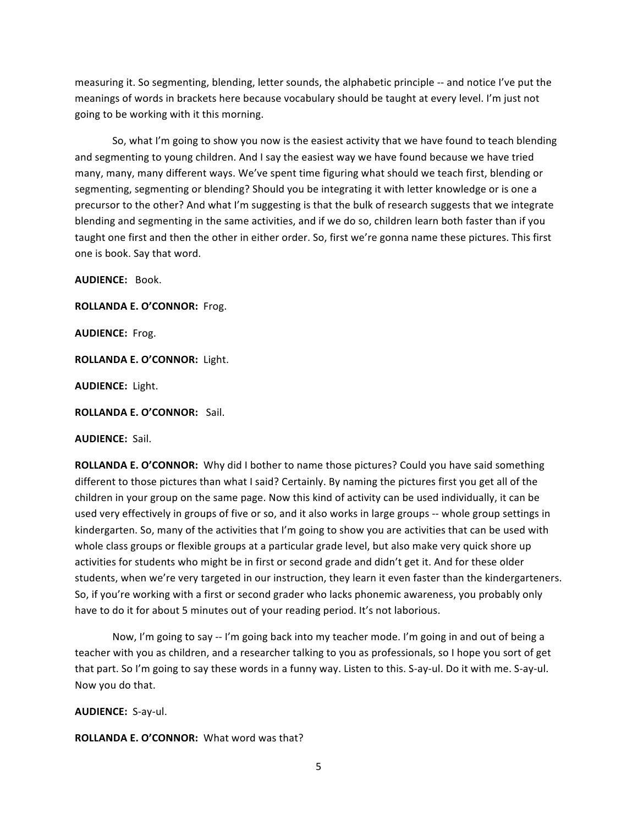measuring it. So segmenting, blending, letter sounds, the alphabetic principle -- and notice I've put the meanings of words in brackets here because vocabulary should be taught at every level. I'm just not going to be working with it this morning.

So, what I'm going to show you now is the easiest activity that we have found to teach blending and segmenting to young children. And I say the easiest way we have found because we have tried many, many, many different ways. We've spent time figuring what should we teach first, blending or segmenting, segmenting or blending? Should you be integrating it with letter knowledge or is one a precursor to the other? And what I'm suggesting is that the bulk of research suggests that we integrate blending and segmenting in the same activities, and if we do so, children learn both faster than if you taught one first and then the other in either order. So, first we're gonna name these pictures. This first one is book. Say that word.

**AUDIENCE: Book.** 

ROLLANDA E. O'CONNOR: Frog.

**AUDIENCE:** Frog.

ROLLANDA E. O'CONNOR: Light.

AUDIENCE: Light.

ROLLANDA E. O'CONNOR: Sail.

**AUDIENCE:** Sail.

**ROLLANDA E. O'CONNOR:** Why did I bother to name those pictures? Could you have said something different to those pictures than what I said? Certainly. By naming the pictures first you get all of the children in your group on the same page. Now this kind of activity can be used individually, it can be used very effectively in groups of five or so, and it also works in large groups -- whole group settings in kindergarten. So, many of the activities that I'm going to show you are activities that can be used with whole class groups or flexible groups at a particular grade level, but also make very quick shore up activities for students who might be in first or second grade and didn't get it. And for these older students, when we're very targeted in our instruction, they learn it even faster than the kindergarteners. So, if you're working with a first or second grader who lacks phonemic awareness, you probably only have to do it for about 5 minutes out of your reading period. It's not laborious.

Now, I'm going to say -- I'm going back into my teacher mode. I'm going in and out of being a teacher with you as children, and a researcher talking to you as professionals, so I hope you sort of get that part. So I'm going to say these words in a funny way. Listen to this. S-ay-ul. Do it with me. S-ay-ul. Now you do that.

**AUDIENCE: S-ay-ul.** 

**ROLLANDA E. O'CONNOR:** What word was that?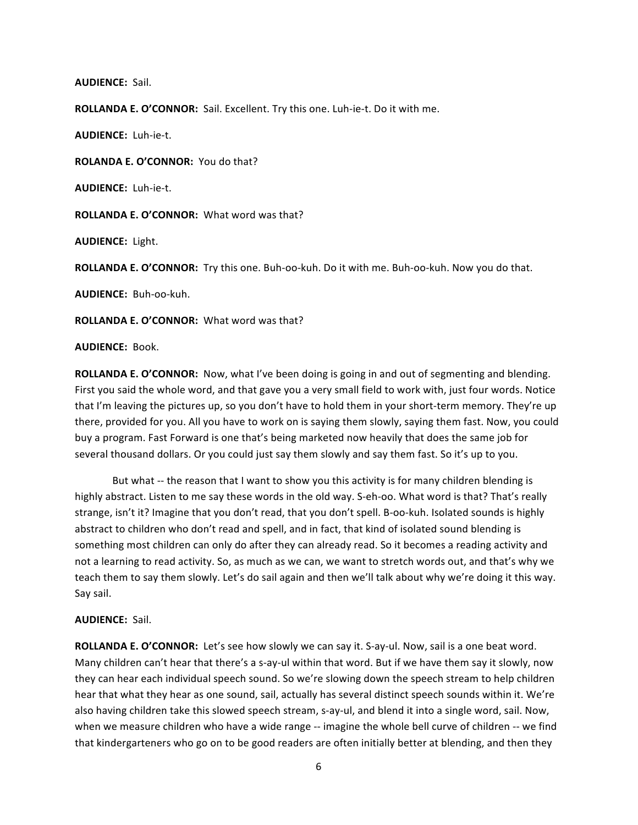#### **AUDIENCE:** Sail.

ROLLANDA E. O'CONNOR: Sail. Excellent. Try this one. Luh-ie-t. Do it with me.

**AUDIENCE:** Luh-ie-t.

ROLANDA E. O'CONNOR: You do that?

**AUDIENCE:** Luh-ie-t.

**ROLLANDA E. O'CONNOR:** What word was that?

**AUDIENCE:** Light.

**ROLLANDA E. O'CONNOR:** Try this one. Buh-oo-kuh. Do it with me. Buh-oo-kuh. Now you do that.

**AUDIENCE: Buh-oo-kuh.** 

**ROLLANDA E. O'CONNOR:** What word was that?

**AUDIENCE:** Book."

**ROLLANDA E. O'CONNOR:** Now, what I've been doing is going in and out of segmenting and blending. First you said the whole word, and that gave you a very small field to work with, just four words. Notice that I'm leaving the pictures up, so you don't have to hold them in your short-term memory. They're up there, provided for you. All you have to work on is saying them slowly, saying them fast. Now, you could buy a program. Fast Forward is one that's being marketed now heavily that does the same job for several thousand dollars. Or you could just say them slowly and say them fast. So it's up to you.

But what -- the reason that I want to show you this activity is for many children blending is highly abstract. Listen to me say these words in the old way. S-eh-oo. What word is that? That's really strange, isn't it? Imagine that you don't read, that you don't spell. B-oo-kuh. Isolated sounds is highly abstract to children who don't read and spell, and in fact, that kind of isolated sound blending is something most children can only do after they can already read. So it becomes a reading activity and not a learning to read activity. So, as much as we can, we want to stretch words out, and that's why we teach them to say them slowly. Let's do sail again and then we'll talk about why we're doing it this way. Say sail.

# **AUDIENCE:** Sail.

ROLLANDA E. O'CONNOR: Let's see how slowly we can say it. S-ay-ul. Now, sail is a one beat word. Many children can't hear that there's a s-ay-ul within that word. But if we have them say it slowly, now they can hear each individual speech sound. So we're slowing down the speech stream to help children hear that what they hear as one sound, sail, actually has several distinct speech sounds within it. We're also having children take this slowed speech stream, s-ay-ul, and blend it into a single word, sail. Now, when we measure children who have a wide range -- imagine the whole bell curve of children -- we find that kindergarteners who go on to be good readers are often initially better at blending, and then they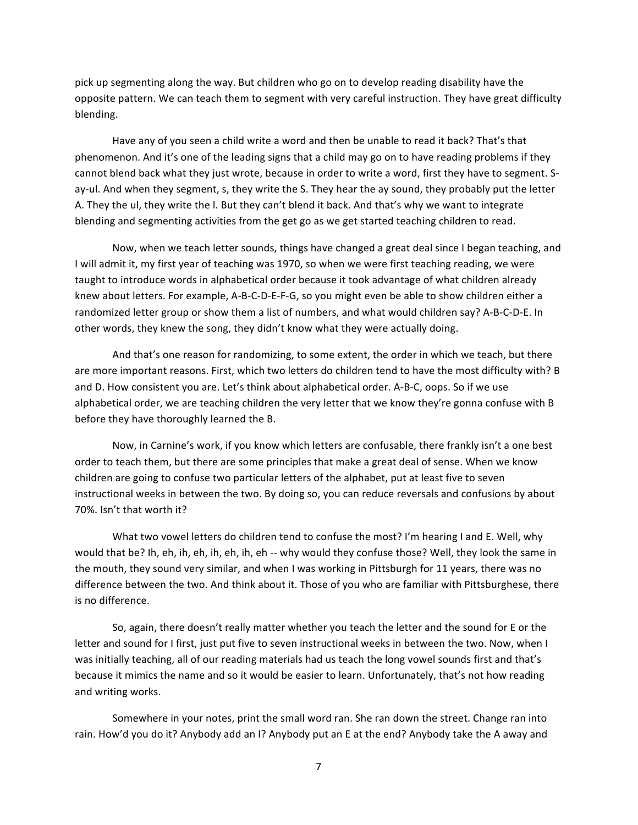pick up segmenting along the way. But children who go on to develop reading disability have the opposite pattern. We can teach them to segment with very careful instruction. They have great difficulty blending.

Have any of you seen a child write a word and then be unable to read it back? That's that phenomenon. And it's one of the leading signs that a child may go on to have reading problems if they cannot blend back what they just wrote, because in order to write a word, first they have to segment. Say-ul. And when they segment, s, they write the S. They hear the ay sound, they probably put the letter A. They the ul, they write the I. But they can't blend it back. And that's why we want to integrate blending and segmenting activities from the get go as we get started teaching children to read.

Now, when we teach letter sounds, things have changed a great deal since I began teaching, and I will admit it, my first year of teaching was 1970, so when we were first teaching reading, we were taught to introduce words in alphabetical order because it took advantage of what children already knew about letters. For example, A-B-C-D-E-F-G, so you might even be able to show children either a randomized letter group or show them a list of numbers, and what would children say? A-B-C-D-E. In other words, they knew the song, they didn't know what they were actually doing.

And that's one reason for randomizing, to some extent, the order in which we teach, but there are more important reasons. First, which two letters do children tend to have the most difficulty with? B and D. How consistent you are. Let's think about alphabetical order. A-B-C, oops. So if we use alphabetical order, we are teaching children the very letter that we know they're gonna confuse with B before they have thoroughly learned the B.

Now, in Carnine's work, if you know which letters are confusable, there frankly isn't a one best order to teach them, but there are some principles that make a great deal of sense. When we know children are going to confuse two particular letters of the alphabet, put at least five to seven instructional weeks in between the two. By doing so, you can reduce reversals and confusions by about 70%. Isn't that worth it?

What two vowel letters do children tend to confuse the most? I'm hearing I and E. Well, why would that be? Ih, eh, ih, eh, ih, eh, ih, eh -- why would they confuse those? Well, they look the same in the mouth, they sound very similar, and when I was working in Pittsburgh for 11 years, there was no difference between the two. And think about it. Those of you who are familiar with Pittsburghese, there is no difference.

So, again, there doesn't really matter whether you teach the letter and the sound for E or the letter and sound for I first, just put five to seven instructional weeks in between the two. Now, when I was initially teaching, all of our reading materials had us teach the long vowel sounds first and that's because it mimics the name and so it would be easier to learn. Unfortunately, that's not how reading and writing works.

Somewhere in your notes, print the small word ran. She ran down the street. Change ran into rain. How'd you do it? Anybody add an I? Anybody put an E at the end? Anybody take the A away and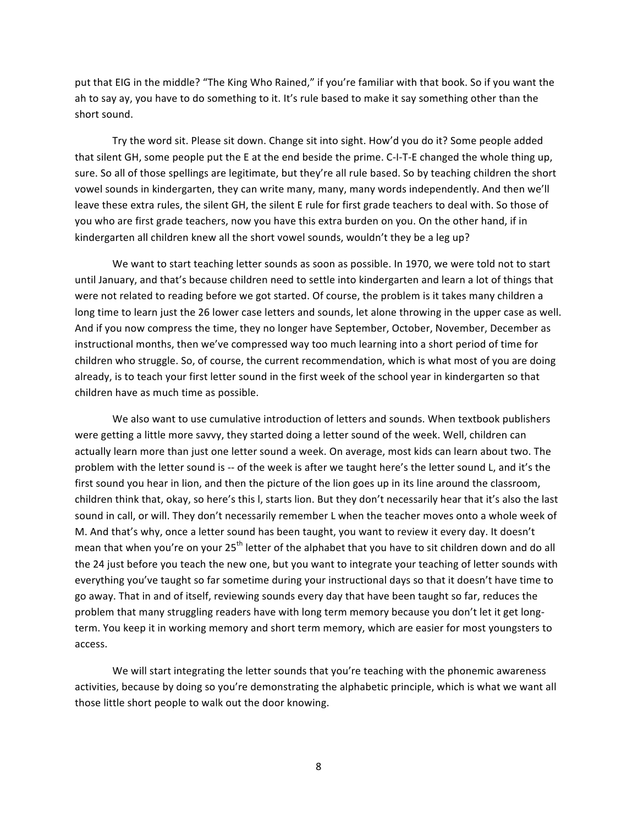put that EIG in the middle? "The King Who Rained," if you're familiar with that book. So if you want the ah to say ay, you have to do something to it. It's rule based to make it say something other than the short sound.

Try the word sit. Please sit down. Change sit into sight. How'd you do it? Some people added that silent GH, some people put the E at the end beside the prime. C-I-T-E changed the whole thing up, sure. So all of those spellings are legitimate, but they're all rule based. So by teaching children the short vowel sounds in kindergarten, they can write many, many, many words independently. And then we'll leave these extra rules, the silent GH, the silent E rule for first grade teachers to deal with. So those of you who are first grade teachers, now you have this extra burden on you. On the other hand, if in kindergarten all children knew all the short vowel sounds, wouldn't they be a leg up?

We want to start teaching letter sounds as soon as possible. In 1970, we were told not to start until January, and that's because children need to settle into kindergarten and learn a lot of things that were not related to reading before we got started. Of course, the problem is it takes many children a long time to learn just the 26 lower case letters and sounds, let alone throwing in the upper case as well. And if you now compress the time, they no longer have September, October, November, December as instructional months, then we've compressed way too much learning into a short period of time for children who struggle. So, of course, the current recommendation, which is what most of you are doing already, is to teach your first letter sound in the first week of the school year in kindergarten so that children have as much time as possible.

We also want to use cumulative introduction of letters and sounds. When textbook publishers were getting a little more savvy, they started doing a letter sound of the week. Well, children can actually learn more than just one letter sound a week. On average, most kids can learn about two. The problem with the letter sound is -- of the week is after we taught here's the letter sound L, and it's the first sound you hear in lion, and then the picture of the lion goes up in its line around the classroom, children think that, okay, so here's this I, starts lion. But they don't necessarily hear that it's also the last sound in call, or will. They don't necessarily remember L when the teacher moves onto a whole week of M. And that's why, once a letter sound has been taught, you want to review it every day. It doesn't mean that when you're on your 25<sup>th</sup> letter of the alphabet that you have to sit children down and do all the 24 just before you teach the new one, but you want to integrate your teaching of letter sounds with everything you've taught so far sometime during your instructional days so that it doesn't have time to go away. That in and of itself, reviewing sounds every day that have been taught so far, reduces the problem that many struggling readers have with long term memory because you don't let it get longterm. You keep it in working memory and short term memory, which are easier for most youngsters to access.

We will start integrating the letter sounds that you're teaching with the phonemic awareness activities, because by doing so you're demonstrating the alphabetic principle, which is what we want all those little short people to walk out the door knowing.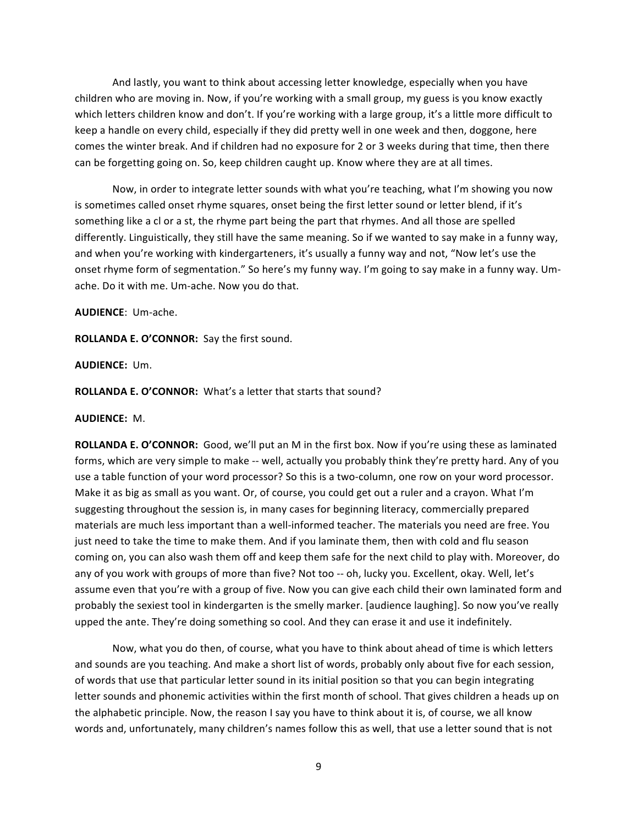And lastly, you want to think about accessing letter knowledge, especially when you have children who are moving in. Now, if you're working with a small group, my guess is you know exactly which letters children know and don't. If you're working with a large group, it's a little more difficult to keep a handle on every child, especially if they did pretty well in one week and then, doggone, here comes the winter break. And if children had no exposure for 2 or 3 weeks during that time, then there can be forgetting going on. So, keep children caught up. Know where they are at all times.

Now, in order to integrate letter sounds with what you're teaching, what I'm showing you now is sometimes called onset rhyme squares, onset being the first letter sound or letter blend, if it's something like a cl or a st, the rhyme part being the part that rhymes. And all those are spelled differently. Linguistically, they still have the same meaning. So if we wanted to say make in a funny way, and when you're working with kindergarteners, it's usually a funny way and not, "Now let's use the onset rhyme form of segmentation." So here's my funny way. I'm going to say make in a funny way. Umache. Do it with me. Um-ache. Now you do that.

## **AUDIENCE**:" UmEache.

ROLLANDA E. O'CONNOR: Say the first sound.

### **AUDIENCE:** Um.

### **ROLLANDA E. O'CONNOR:** What's a letter that starts that sound?

#### **AUDIENCE:** M."

**ROLLANDA E. O'CONNOR:** Good, we'll put an M in the first box. Now if you're using these as laminated forms, which are very simple to make -- well, actually you probably think they're pretty hard. Any of you use a table function of your word processor? So this is a two-column, one row on your word processor. Make it as big as small as you want. Or, of course, you could get out a ruler and a crayon. What I'm suggesting throughout the session is, in many cases for beginning literacy, commercially prepared materials are much less important than a well-informed teacher. The materials you need are free. You just need to take the time to make them. And if you laminate them, then with cold and flu season coming on, you can also wash them off and keep them safe for the next child to play with. Moreover, do any of you work with groups of more than five? Not too -- oh, lucky you. Excellent, okay. Well, let's assume even that you're with a group of five. Now you can give each child their own laminated form and probably the sexiest tool in kindergarten is the smelly marker. [audience laughing]. So now you've really upped the ante. They're doing something so cool. And they can erase it and use it indefinitely.

Now, what you do then, of course, what you have to think about ahead of time is which letters and sounds are you teaching. And make a short list of words, probably only about five for each session, of words that use that particular letter sound in its initial position so that you can begin integrating letter sounds and phonemic activities within the first month of school. That gives children a heads up on the alphabetic principle. Now, the reason I say you have to think about it is, of course, we all know words and, unfortunately, many children's names follow this as well, that use a letter sound that is not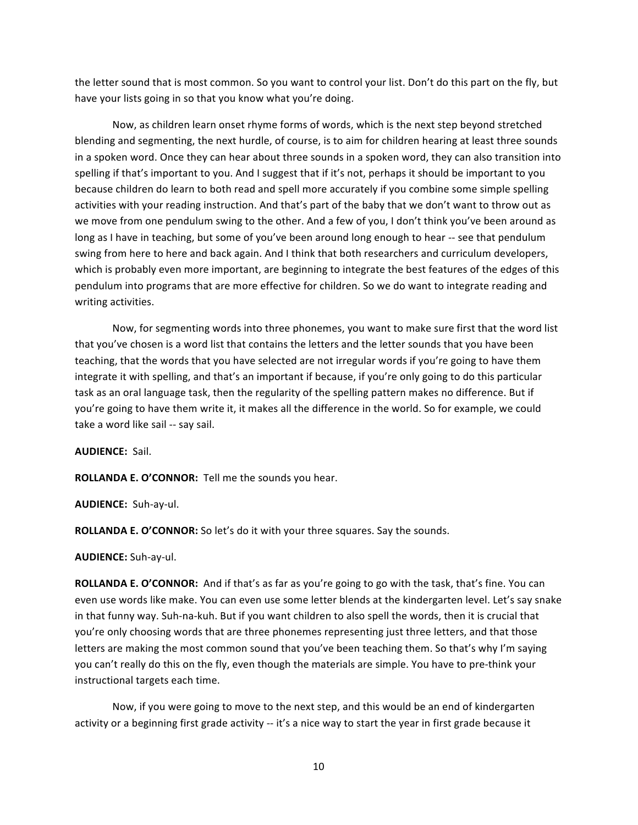the letter sound that is most common. So you want to control your list. Don't do this part on the fly, but have your lists going in so that you know what you're doing.

Now, as children learn onset rhyme forms of words, which is the next step beyond stretched blending and segmenting, the next hurdle, of course, is to aim for children hearing at least three sounds in a spoken word. Once they can hear about three sounds in a spoken word, they can also transition into spelling if that's important to you. And I suggest that if it's not, perhaps it should be important to you because children do learn to both read and spell more accurately if you combine some simple spelling activities with your reading instruction. And that's part of the baby that we don't want to throw out as we move from one pendulum swing to the other. And a few of you, I don't think you've been around as long as I have in teaching, but some of you've been around long enough to hear -- see that pendulum swing from here to here and back again. And I think that both researchers and curriculum developers, which is probably even more important, are beginning to integrate the best features of the edges of this pendulum into programs that are more effective for children. So we do want to integrate reading and writing activities.

Now, for segmenting words into three phonemes, you want to make sure first that the word list that you've chosen is a word list that contains the letters and the letter sounds that you have been teaching, that the words that you have selected are not irregular words if you're going to have them integrate it with spelling, and that's an important if because, if you're only going to do this particular task as an oral language task, then the regularity of the spelling pattern makes no difference. But if you're going to have them write it, it makes all the difference in the world. So for example, we could take a word like sail -- say sail.

**AUDIENCE:** Sail.

**ROLLANDA E. O'CONNOR:** Tell me the sounds you hear.

**AUDIENCE:** Suh-ay-ul.

**ROLLANDA E. O'CONNOR:** So let's do it with your three squares. Say the sounds.

**AUDIENCE:** Suh-ay-ul.

ROLLANDA E. O'CONNOR: And if that's as far as you're going to go with the task, that's fine. You can even use words like make. You can even use some letter blends at the kindergarten level. Let's say snake in that funny way. Suh-na-kuh. But if you want children to also spell the words, then it is crucial that you're only choosing words that are three phonemes representing just three letters, and that those letters are making the most common sound that you've been teaching them. So that's why I'm saying you can't really do this on the fly, even though the materials are simple. You have to pre-think your instructional targets each time.

Now, if you were going to move to the next step, and this would be an end of kindergarten activity or a beginning first grade activity -- it's a nice way to start the year in first grade because it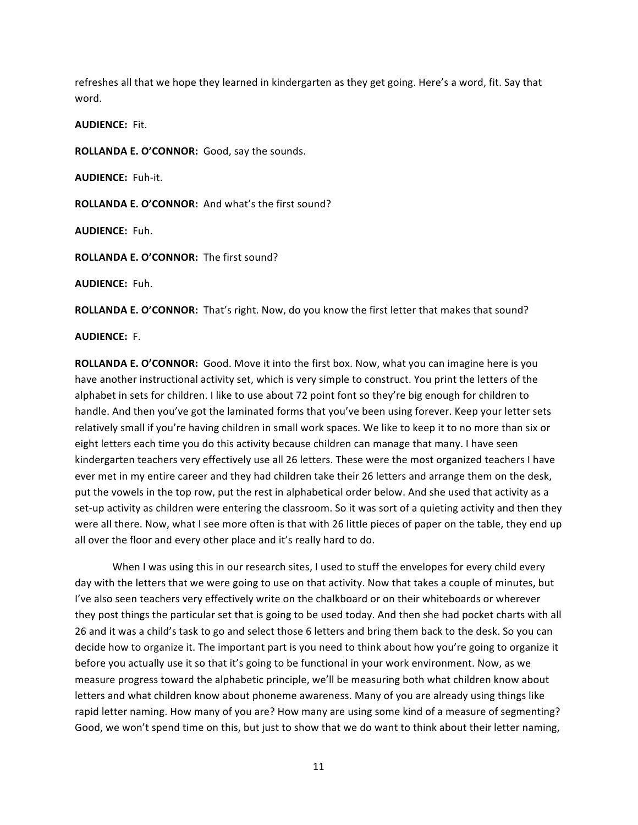refreshes all that we hope they learned in kindergarten as they get going. Here's a word, fit. Say that word.

**AUDIENCE:** Fit.

**ROLLANDA E. O'CONNOR:** Good, say the sounds.

**AUDIENCE: Fuh-it.** 

ROLLANDA E. O'CONNOR: And what's the first sound?

**AUDIENCE:** Fuh.

**ROLLANDA E. O'CONNOR:** The first sound?

**AUDIENCE:** Fuh."

**ROLLANDA E. O'CONNOR:** That's right. Now, do you know the first letter that makes that sound?

**AUDIENCE:** F.

**ROLLANDA E. O'CONNOR:** Good. Move it into the first box. Now, what you can imagine here is you have another instructional activity set, which is very simple to construct. You print the letters of the alphabet in sets for children. I like to use about 72 point font so they're big enough for children to handle. And then you've got the laminated forms that you've been using forever. Keep your letter sets relatively small if you're having children in small work spaces. We like to keep it to no more than six or eight letters each time you do this activity because children can manage that many. I have seen kindergarten teachers very effectively use all 26 letters. These were the most organized teachers I have ever met in my entire career and they had children take their 26 letters and arrange them on the desk, put the vowels in the top row, put the rest in alphabetical order below. And she used that activity as a set-up activity as children were entering the classroom. So it was sort of a quieting activity and then they were all there. Now, what I see more often is that with 26 little pieces of paper on the table, they end up all over the floor and every other place and it's really hard to do.

When I was using this in our research sites, I used to stuff the envelopes for every child every day with the letters that we were going to use on that activity. Now that takes a couple of minutes, but I've also seen teachers very effectively write on the chalkboard or on their whiteboards or wherever they post things the particular set that is going to be used today. And then she had pocket charts with all 26 and it was a child's task to go and select those 6 letters and bring them back to the desk. So you can decide how to organize it. The important part is you need to think about how you're going to organize it before you actually use it so that it's going to be functional in your work environment. Now, as we measure progress toward the alphabetic principle, we'll be measuring both what children know about letters and what children know about phoneme awareness. Many of you are already using things like rapid letter naming. How many of you are? How many are using some kind of a measure of segmenting? Good, we won't spend time on this, but just to show that we do want to think about their letter naming,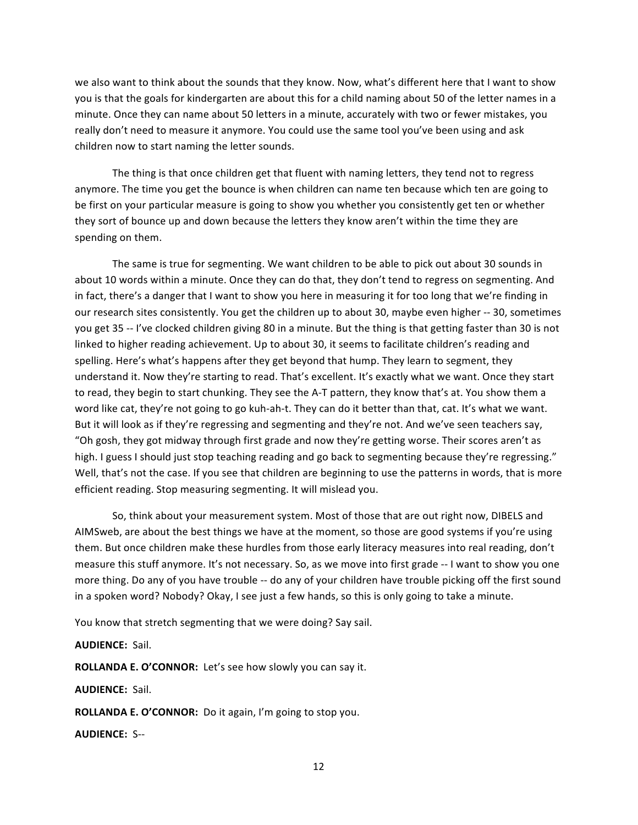we also want to think about the sounds that they know. Now, what's different here that I want to show you is that the goals for kindergarten are about this for a child naming about 50 of the letter names in a minute. Once they can name about 50 letters in a minute, accurately with two or fewer mistakes, you really don't need to measure it anymore. You could use the same tool you've been using and ask children now to start naming the letter sounds.

The thing is that once children get that fluent with naming letters, they tend not to regress anymore. The time you get the bounce is when children can name ten because which ten are going to be first on your particular measure is going to show you whether you consistently get ten or whether they sort of bounce up and down because the letters they know aren't within the time they are spending on them.

The same is true for segmenting. We want children to be able to pick out about 30 sounds in about 10 words within a minute. Once they can do that, they don't tend to regress on segmenting. And in fact, there's a danger that I want to show you here in measuring it for too long that we're finding in our research sites consistently. You get the children up to about 30, maybe even higher -- 30, sometimes you get 35 -- I've clocked children giving 80 in a minute. But the thing is that getting faster than 30 is not linked to higher reading achievement. Up to about 30, it seems to facilitate children's reading and spelling. Here's what's happens after they get beyond that hump. They learn to segment, they understand it. Now they're starting to read. That's excellent. It's exactly what we want. Once they start to read, they begin to start chunking. They see the A-T pattern, they know that's at. You show them a word like cat, they're not going to go kuh-ah-t. They can do it better than that, cat. It's what we want. But it will look as if they're regressing and segmenting and they're not. And we've seen teachers say, "Oh gosh, they got midway through first grade and now they're getting worse. Their scores aren't as high. I guess I should just stop teaching reading and go back to segmenting because they're regressing." Well, that's not the case. If you see that children are beginning to use the patterns in words, that is more efficient reading. Stop measuring segmenting. It will mislead you.

So, think about your measurement system. Most of those that are out right now, DIBELS and AIMSweb, are about the best things we have at the moment, so those are good systems if you're using them. But once children make these hurdles from those early literacy measures into real reading, don't measure this stuff anymore. It's not necessary. So, as we move into first grade -- I want to show you one more thing. Do any of you have trouble -- do any of your children have trouble picking off the first sound in a spoken word? Nobody? Okay, I see just a few hands, so this is only going to take a minute.

You know that stretch segmenting that we were doing? Say sail.

### **AUDIENCE: Sail.**

**ROLLANDA E. O'CONNOR:** Let's see how slowly you can say it.

**AUDIENCE: Sail.** 

**ROLLANDA E. O'CONNOR:** Do it again, I'm going to stop you.

**AUDIENCE: S--**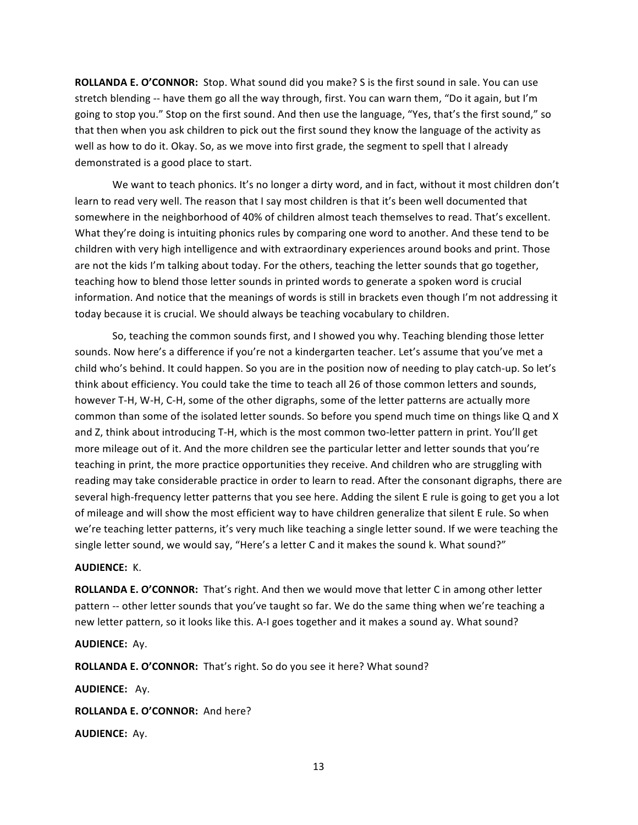**ROLLANDA E. O'CONNOR:** Stop. What sound did you make? S is the first sound in sale. You can use stretch blending -- have them go all the way through, first. You can warn them, "Do it again, but I'm going to stop you." Stop on the first sound. And then use the language, "Yes, that's the first sound," so that then when you ask children to pick out the first sound they know the language of the activity as well as how to do it. Okay. So, as we move into first grade, the segment to spell that I already demonstrated is a good place to start.

We want to teach phonics. It's no longer a dirty word, and in fact, without it most children don't learn to read very well. The reason that I say most children is that it's been well documented that somewhere in the neighborhood of 40% of children almost teach themselves to read. That's excellent. What they're doing is intuiting phonics rules by comparing one word to another. And these tend to be children with very high intelligence and with extraordinary experiences around books and print. Those are not the kids I'm talking about today. For the others, teaching the letter sounds that go together, teaching how to blend those letter sounds in printed words to generate a spoken word is crucial information. And notice that the meanings of words is still in brackets even though I'm not addressing it today because it is crucial. We should always be teaching vocabulary to children.

So, teaching the common sounds first, and I showed you why. Teaching blending those letter sounds. Now here's a difference if you're not a kindergarten teacher. Let's assume that you've met a child who's behind. It could happen. So you are in the position now of needing to play catch-up. So let's think about efficiency. You could take the time to teach all 26 of those common letters and sounds, however T-H, W-H, C-H, some of the other digraphs, some of the letter patterns are actually more common than some of the isolated letter sounds. So before you spend much time on things like Q and X and Z, think about introducing T-H, which is the most common two-letter pattern in print. You'll get more mileage out of it. And the more children see the particular letter and letter sounds that you're teaching in print, the more practice opportunities they receive. And children who are struggling with reading may take considerable practice in order to learn to read. After the consonant digraphs, there are several high-frequency letter patterns that you see here. Adding the silent E rule is going to get you a lot of mileage and will show the most efficient way to have children generalize that silent E rule. So when we're teaching letter patterns, it's very much like teaching a single letter sound. If we were teaching the single letter sound, we would say, "Here's a letter C and it makes the sound k. What sound?"

### **AUDIENCE: K.**

ROLLANDA E. O'CONNOR: That's right. And then we would move that letter C in among other letter pattern -- other letter sounds that you've taught so far. We do the same thing when we're teaching a new letter pattern, so it looks like this. A-I goes together and it makes a sound ay. What sound?

## **AUDIENCE:** Ay.

ROLLANDA E. O'CONNOR: That's right. So do you see it here? What sound?

**AUDIENCE: Ay.** 

ROLLANDA E. O'CONNOR: And here?

**AUDIENCE: Ay.**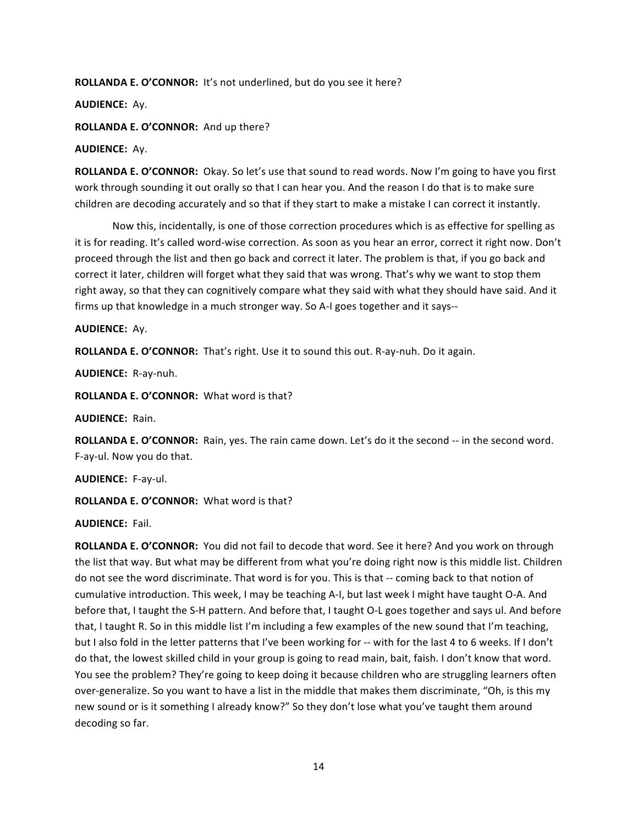**ROLLANDA E. O'CONNOR:** It's not underlined, but do you see it here?

**AUDIENCE:** Ay.

ROLLANDA E. O'CONNOR: And up there?

# **AUDIENCE:** Ay.

ROLLANDA E. O'CONNOR: Okay. So let's use that sound to read words. Now I'm going to have you first work through sounding it out orally so that I can hear you. And the reason I do that is to make sure children are decoding accurately and so that if they start to make a mistake I can correct it instantly.

Now this, incidentally, is one of those correction procedures which is as effective for spelling as it is for reading. It's called word-wise correction. As soon as you hear an error, correct it right now. Don't proceed through the list and then go back and correct it later. The problem is that, if you go back and correct it later, children will forget what they said that was wrong. That's why we want to stop them right away, so that they can cognitively compare what they said with what they should have said. And it firms up that knowledge in a much stronger way. So A-I goes together and it says--

# **AUDIENCE: Av.**

**ROLLANDA E. O'CONNOR:** That's right. Use it to sound this out. R-ay-nuh. Do it again.

**AUDIENCE:** R-ay-nuh.

**ROLLANDA E. O'CONNOR:** What word is that?

**AUDIENCE: Rain.** 

ROLLANDA E. O'CONNOR: Rain, yes. The rain came down. Let's do it the second -- in the second word. F-ay-ul. Now you do that.

**AUDIENCE: F-ay-ul.** 

**ROLLANDA E. O'CONNOR:** What word is that?

**AUDIENCE: Fail.** 

**ROLLANDA E. O'CONNOR:** You did not fail to decode that word. See it here? And you work on through the list that way. But what may be different from what you're doing right now is this middle list. Children do not see the word discriminate. That word is for you. This is that -- coming back to that notion of cumulative introduction. This week, I may be teaching A-I, but last week I might have taught O-A. And before that, I taught the S-H pattern. And before that, I taught O-L goes together and says ul. And before that, I taught R. So in this middle list I'm including a few examples of the new sound that I'm teaching, but I also fold in the letter patterns that I've been working for -- with for the last 4 to 6 weeks. If I don't do that, the lowest skilled child in your group is going to read main, bait, faish. I don't know that word. You see the problem? They're going to keep doing it because children who are struggling learners often over-generalize. So you want to have a list in the middle that makes them discriminate, "Oh, is this my new sound or is it something I already know?" So they don't lose what you've taught them around decoding so far.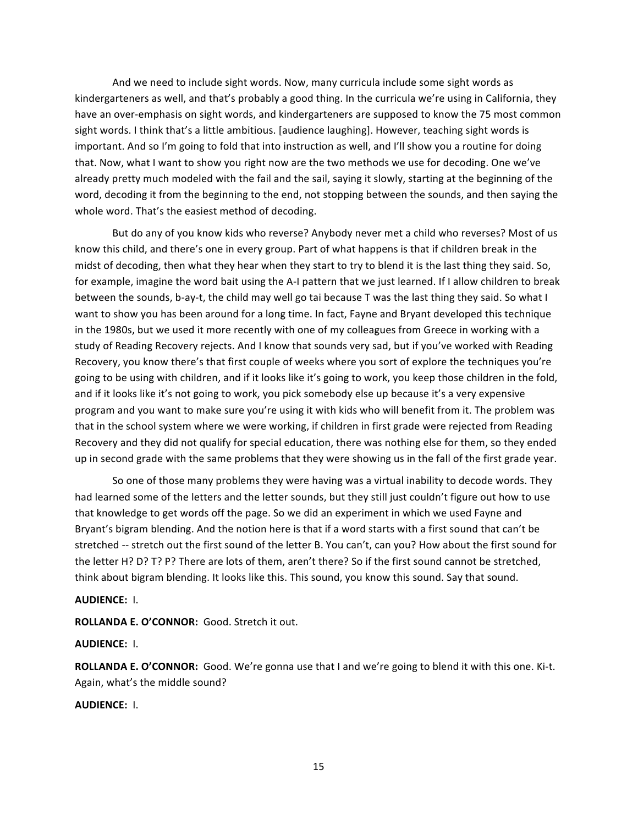And we need to include sight words. Now, many curricula include some sight words as kindergarteners as well, and that's probably a good thing. In the curricula we're using in California, they have an over-emphasis on sight words, and kindergarteners are supposed to know the 75 most common sight words. I think that's a little ambitious. [audience laughing]. However, teaching sight words is important. And so I'm going to fold that into instruction as well, and I'll show you a routine for doing that. Now, what I want to show you right now are the two methods we use for decoding. One we've already pretty much modeled with the fail and the sail, saying it slowly, starting at the beginning of the word, decoding it from the beginning to the end, not stopping between the sounds, and then saying the whole word. That's the easiest method of decoding.

But do any of you know kids who reverse? Anybody never met a child who reverses? Most of us know this child, and there's one in every group. Part of what happens is that if children break in the midst of decoding, then what they hear when they start to try to blend it is the last thing they said. So, for example, imagine the word bait using the A-I pattern that we just learned. If I allow children to break between the sounds, b-ay-t, the child may well go tai because T was the last thing they said. So what I want to show you has been around for a long time. In fact, Fayne and Bryant developed this technique in the 1980s, but we used it more recently with one of my colleagues from Greece in working with a study of Reading Recovery rejects. And I know that sounds very sad, but if you've worked with Reading Recovery, you know there's that first couple of weeks where you sort of explore the techniques you're going to be using with children, and if it looks like it's going to work, you keep those children in the fold, and if it looks like it's not going to work, you pick somebody else up because it's a very expensive program and you want to make sure you're using it with kids who will benefit from it. The problem was that in the school system where we were working, if children in first grade were rejected from Reading Recovery and they did not qualify for special education, there was nothing else for them, so they ended up in second grade with the same problems that they were showing us in the fall of the first grade year.

So one of those many problems they were having was a virtual inability to decode words. They had learned some of the letters and the letter sounds, but they still just couldn't figure out how to use that knowledge to get words off the page. So we did an experiment in which we used Fayne and Bryant's bigram blending. And the notion here is that if a word starts with a first sound that can't be stretched -- stretch out the first sound of the letter B. You can't, can you? How about the first sound for the letter H? D? T? P? There are lots of them, aren't there? So if the first sound cannot be stretched, think about bigram blending. It looks like this. This sound, you know this sound. Say that sound.

#### **AUDIENCE: I.**

**ROLLANDA E. O'CONNOR: Good. Stretch it out.** 

### **AUDIENCE:** I.

ROLLANDA E. O'CONNOR: Good. We're gonna use that I and we're going to blend it with this one. Ki-t. Again, what's the middle sound?

# **AUDIENCE:** I.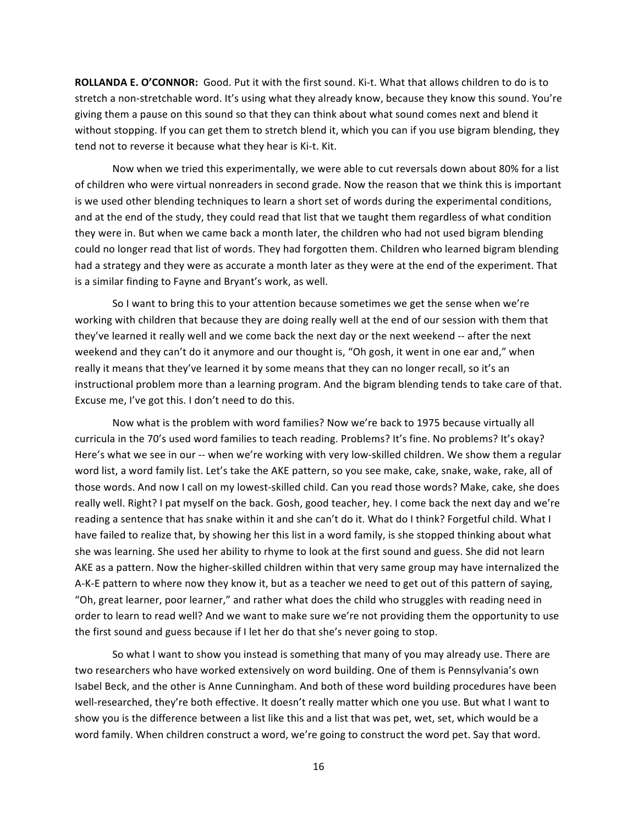**ROLLANDA E. O'CONNOR:** Good. Put it with the first sound. Ki-t. What that allows children to do is to stretch a non-stretchable word. It's using what they already know, because they know this sound. You're giving them a pause on this sound so that they can think about what sound comes next and blend it without stopping. If you can get them to stretch blend it, which you can if you use bigram blending, they tend not to reverse it because what they hear is Ki-t. Kit.

Now when we tried this experimentally, we were able to cut reversals down about 80% for a list of children who were virtual nonreaders in second grade. Now the reason that we think this is important is we used other blending techniques to learn a short set of words during the experimental conditions, and at the end of the study, they could read that list that we taught them regardless of what condition they were in. But when we came back a month later, the children who had not used bigram blending could no longer read that list of words. They had forgotten them. Children who learned bigram blending had a strategy and they were as accurate a month later as they were at the end of the experiment. That is a similar finding to Fayne and Bryant's work, as well.

So I want to bring this to your attention because sometimes we get the sense when we're working with children that because they are doing really well at the end of our session with them that they've learned it really well and we come back the next day or the next weekend -- after the next weekend and they can't do it anymore and our thought is, "Oh gosh, it went in one ear and," when really it means that they've learned it by some means that they can no longer recall, so it's an instructional problem more than a learning program. And the bigram blending tends to take care of that. Excuse me, I've got this. I don't need to do this.

Now what is the problem with word families? Now we're back to 1975 because virtually all curricula in the 70's used word families to teach reading. Problems? It's fine. No problems? It's okay? Here's what we see in our -- when we're working with very low-skilled children. We show them a regular word list, a word family list. Let's take the AKE pattern, so you see make, cake, snake, wake, rake, all of those words. And now I call on my lowest-skilled child. Can you read those words? Make, cake, she does really well. Right? I pat myself on the back. Gosh, good teacher, hey. I come back the next day and we're reading a sentence that has snake within it and she can't do it. What do I think? Forgetful child. What I have failed to realize that, by showing her this list in a word family, is she stopped thinking about what she was learning. She used her ability to rhyme to look at the first sound and guess. She did not learn AKE as a pattern. Now the higher-skilled children within that very same group may have internalized the A-K-E pattern to where now they know it, but as a teacher we need to get out of this pattern of saying, "Oh, great learner, poor learner," and rather what does the child who struggles with reading need in order to learn to read well? And we want to make sure we're not providing them the opportunity to use the first sound and guess because if I let her do that she's never going to stop.

So what I want to show you instead is something that many of you may already use. There are two researchers who have worked extensively on word building. One of them is Pennsylvania's own Isabel Beck, and the other is Anne Cunningham. And both of these word building procedures have been well-researched, they're both effective. It doesn't really matter which one you use. But what I want to show you is the difference between a list like this and a list that was pet, wet, set, which would be a word family. When children construct a word, we're going to construct the word pet. Say that word.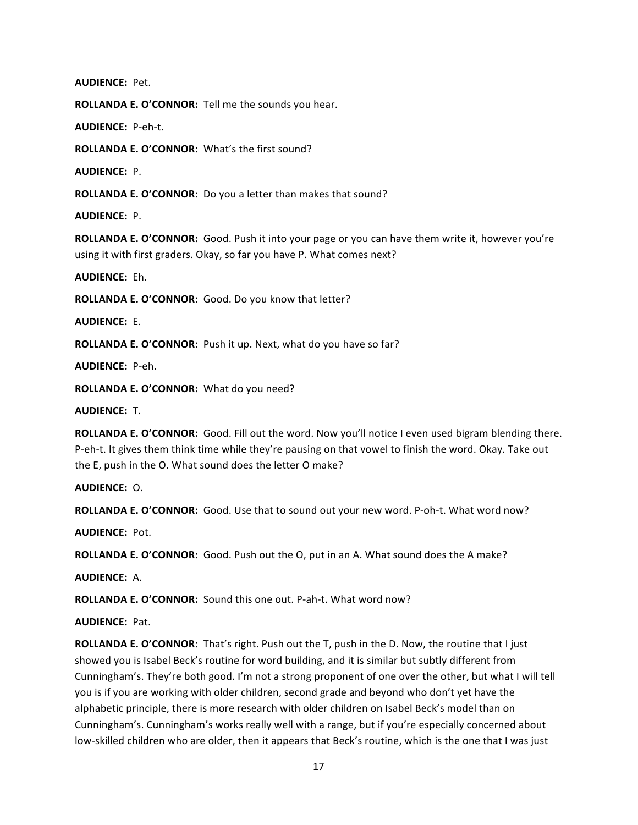**AUDIENCE: Pet.** 

**ROLLANDA E. O'CONNOR:** Tell me the sounds you hear.

**AUDIENCE: P-eh-t.** 

ROLLANDA E. O'CONNOR: What's the first sound?

**AUDIENCE: P.** 

ROLLANDA E. O'CONNOR: Do you a letter than makes that sound?

**AUDIENCE: P.** 

**ROLLANDA E. O'CONNOR:** Good. Push it into your page or you can have them write it, however you're using it with first graders. Okay, so far you have P. What comes next?

**AUDIENCE: Eh.** 

**ROLLANDA E. O'CONNOR:** Good. Do you know that letter?

**AUDIENCE: E.** 

ROLLANDA E. O'CONNOR: Push it up. Next, what do you have so far?

**AUDIENCE: P-eh.** 

ROLLANDA E. O'CONNOR: What do you need?

**AUDIENCE: T.** 

**ROLLANDA E. O'CONNOR:** Good. Fill out the word. Now you'll notice I even used bigram blending there. P-eh-t. It gives them think time while they're pausing on that vowel to finish the word. Okay. Take out the E, push in the O. What sound does the letter O make?

**AUDIENCE: O.** 

ROLLANDA E. O'CONNOR: Good. Use that to sound out your new word. P-oh-t. What word now?

**AUDIENCE: Pot.** 

**ROLLANDA E. O'CONNOR:** Good. Push out the O, put in an A. What sound does the A make?

**AUDIENCE: A.** 

**ROLLANDA E. O'CONNOR:** Sound this one out. P-ah-t. What word now?

**AUDIENCE: Pat.** 

**ROLLANDA E. O'CONNOR:** That's right. Push out the T, push in the D. Now, the routine that I just showed you is Isabel Beck's routine for word building, and it is similar but subtly different from Cunningham's. They're both good. I'm not a strong proponent of one over the other, but what I will tell you is if you are working with older children, second grade and beyond who don't yet have the alphabetic principle, there is more research with older children on Isabel Beck's model than on Cunningham's. Cunningham's works really well with a range, but if you're especially concerned about low-skilled children who are older, then it appears that Beck's routine, which is the one that I was just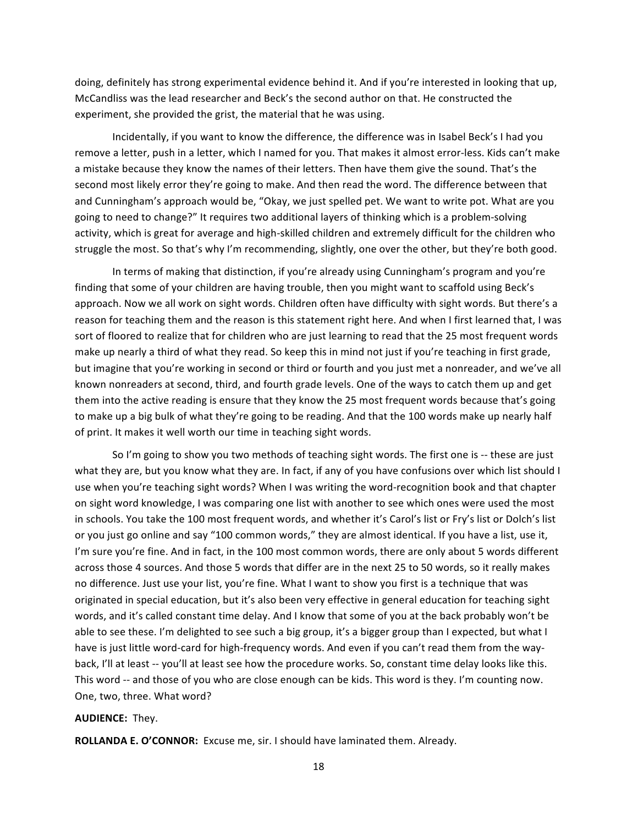doing, definitely has strong experimental evidence behind it. And if you're interested in looking that up, McCandliss was the lead researcher and Beck's the second author on that. He constructed the experiment, she provided the grist, the material that he was using.

Incidentally, if you want to know the difference, the difference was in Isabel Beck's I had you remove a letter, push in a letter, which I named for you. That makes it almost error-less. Kids can't make a mistake because they know the names of their letters. Then have them give the sound. That's the second most likely error they're going to make. And then read the word. The difference between that and Cunningham's approach would be, "Okay, we just spelled pet. We want to write pot. What are you going to need to change?" It requires two additional layers of thinking which is a problem-solving activity, which is great for average and high-skilled children and extremely difficult for the children who struggle the most. So that's why I'm recommending, slightly, one over the other, but they're both good.

In terms of making that distinction, if you're already using Cunningham's program and you're finding that some of your children are having trouble, then you might want to scaffold using Beck's approach. Now we all work on sight words. Children often have difficulty with sight words. But there's a reason for teaching them and the reason is this statement right here. And when I first learned that, I was sort of floored to realize that for children who are just learning to read that the 25 most frequent words make up nearly a third of what they read. So keep this in mind not just if you're teaching in first grade, but imagine that you're working in second or third or fourth and you just met a nonreader, and we've all known nonreaders at second, third, and fourth grade levels. One of the ways to catch them up and get them into the active reading is ensure that they know the 25 most frequent words because that's going to make up a big bulk of what they're going to be reading. And that the 100 words make up nearly half of print. It makes it well worth our time in teaching sight words.

So I'm going to show you two methods of teaching sight words. The first one is -- these are just what they are, but you know what they are. In fact, if any of you have confusions over which list should I use when you're teaching sight words? When I was writing the word-recognition book and that chapter on sight word knowledge, I was comparing one list with another to see which ones were used the most in schools. You take the 100 most frequent words, and whether it's Carol's list or Fry's list or Dolch's list or you just go online and say "100 common words," they are almost identical. If you have a list, use it, I'm sure you're fine. And in fact, in the 100 most common words, there are only about 5 words different across those 4 sources. And those 5 words that differ are in the next 25 to 50 words, so it really makes no difference. Just use your list, you're fine. What I want to show you first is a technique that was originated in special education, but it's also been very effective in general education for teaching sight words, and it's called constant time delay. And I know that some of you at the back probably won't be able to see these. I'm delighted to see such a big group, it's a bigger group than I expected, but what I have is just little word-card for high-frequency words. And even if you can't read them from the wayback, I'll at least -- you'll at least see how the procedure works. So, constant time delay looks like this. This word -- and those of you who are close enough can be kids. This word is they. I'm counting now. One, two, three. What word?

### **AUDIENCE: They.**

ROLLANDA E. O'CONNOR: Excuse me, sir. I should have laminated them. Already.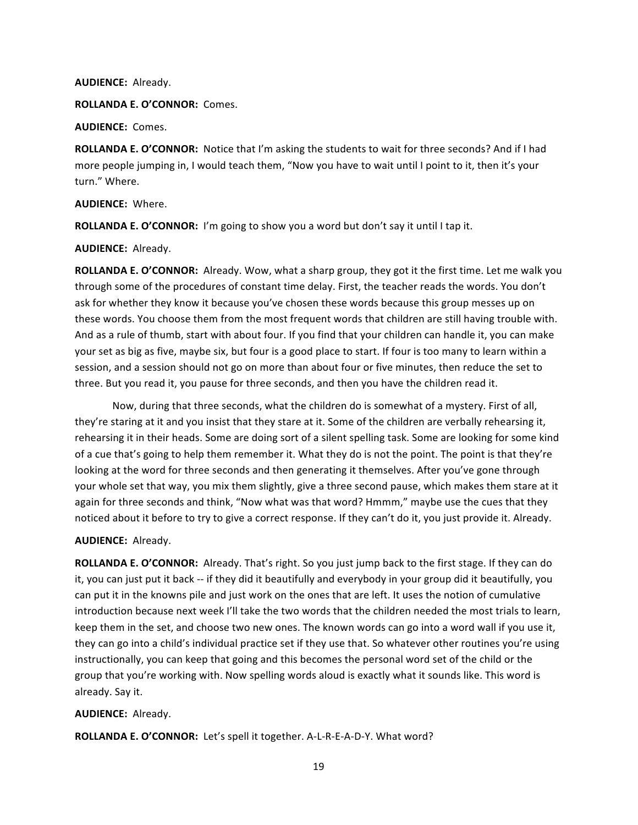#### **AUDIENCE: Already.**

ROLLANDA E. O'CONNOR: Comes.

**AUDIENCE: Comes.** 

ROLLANDA E. O'CONNOR: Notice that I'm asking the students to wait for three seconds? And if I had more people jumping in, I would teach them, "Now you have to wait until I point to it, then it's your turn." Where.

**AUDIENCE: Where.** 

ROLLANDA E. O'CONNOR: I'm going to show you a word but don't say it until I tap it.

**AUDIENCE: Already.** 

**ROLLANDA E. O'CONNOR:** Already. Wow, what a sharp group, they got it the first time. Let me walk you through some of the procedures of constant time delay. First, the teacher reads the words. You don't ask for whether they know it because you've chosen these words because this group messes up on these words. You choose them from the most frequent words that children are still having trouble with. And as a rule of thumb, start with about four. If you find that your children can handle it, you can make your set as big as five, maybe six, but four is a good place to start. If four is too many to learn within a session, and a session should not go on more than about four or five minutes, then reduce the set to three. But you read it, you pause for three seconds, and then you have the children read it.

Now, during that three seconds, what the children do is somewhat of a mystery. First of all, they're staring at it and you insist that they stare at it. Some of the children are verbally rehearsing it, rehearsing it in their heads. Some are doing sort of a silent spelling task. Some are looking for some kind of a cue that's going to help them remember it. What they do is not the point. The point is that they're looking at the word for three seconds and then generating it themselves. After you've gone through your whole set that way, you mix them slightly, give a three second pause, which makes them stare at it again for three seconds and think, "Now what was that word? Hmmm," maybe use the cues that they noticed about it before to try to give a correct response. If they can't do it, you just provide it. Already.

## **AUDIENCE: Already.**

**ROLLANDA E. O'CONNOR:** Already. That's right. So you just jump back to the first stage. If they can do it, you can just put it back -- if they did it beautifully and everybody in your group did it beautifully, you can put it in the knowns pile and just work on the ones that are left. It uses the notion of cumulative introduction because next week I'll take the two words that the children needed the most trials to learn, keep them in the set, and choose two new ones. The known words can go into a word wall if you use it, they can go into a child's individual practice set if they use that. So whatever other routines you're using instructionally, you can keep that going and this becomes the personal word set of the child or the group that you're working with. Now spelling words aloud is exactly what it sounds like. This word is already. Say it.

## **AUDIENCE: Already.**

**ROLLANDA E. O'CONNOR:** Let's spell it together. A-L-R-E-A-D-Y. What word?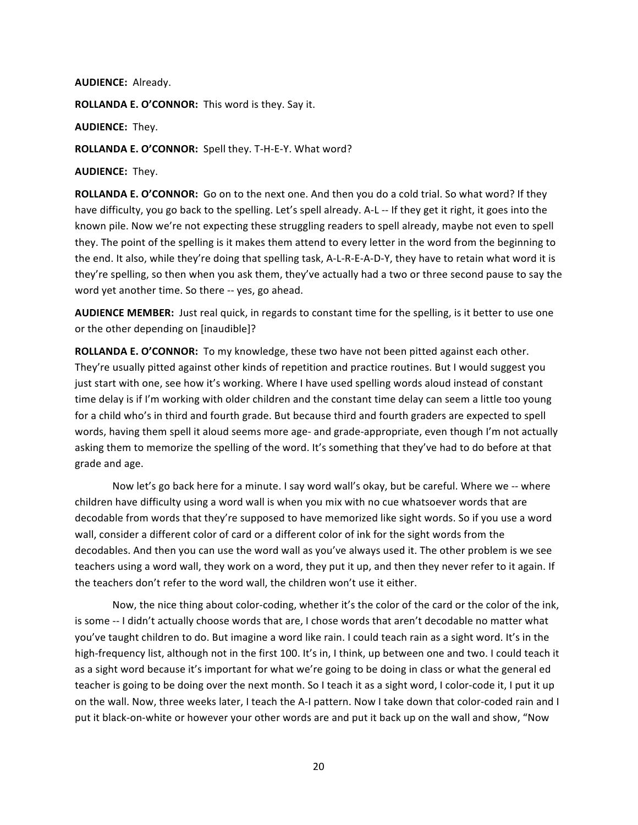#### **AUDIENCE: Already.**

ROLLANDA E. O'CONNOR: This word is they. Say it.

**AUDIENCE: They.** 

ROLLANDA E. O'CONNOR: Spell they. T-H-E-Y. What word?

**AUDIENCE: They.** 

ROLLANDA E. O'CONNOR: Go on to the next one. And then you do a cold trial. So what word? If they have difficulty, you go back to the spelling. Let's spell already. A-L -- If they get it right, it goes into the known pile. Now we're not expecting these struggling readers to spell already, maybe not even to spell they. The point of the spelling is it makes them attend to every letter in the word from the beginning to the end. It also, while they're doing that spelling task, A-L-R-E-A-D-Y, they have to retain what word it is they're spelling, so then when you ask them, they've actually had a two or three second pause to say the word yet another time. So there -- yes, go ahead.

**AUDIENCE MEMBER:** Just real quick, in regards to constant time for the spelling, is it better to use one or the other depending on [inaudible]?

**ROLLANDA E. O'CONNOR:** To my knowledge, these two have not been pitted against each other. They're usually pitted against other kinds of repetition and practice routines. But I would suggest you just start with one, see how it's working. Where I have used spelling words aloud instead of constant time delay is if I'm working with older children and the constant time delay can seem a little too young for a child who's in third and fourth grade. But because third and fourth graders are expected to spell words, having them spell it aloud seems more age- and grade-appropriate, even though I'm not actually asking them to memorize the spelling of the word. It's something that they've had to do before at that grade and age.

Now let's go back here for a minute. I say word wall's okay, but be careful. Where we -- where children have difficulty using a word wall is when you mix with no cue whatsoever words that are decodable from words that they're supposed to have memorized like sight words. So if you use a word wall, consider a different color of card or a different color of ink for the sight words from the decodables. And then you can use the word wall as you've always used it. The other problem is we see teachers using a word wall, they work on a word, they put it up, and then they never refer to it again. If the teachers don't refer to the word wall, the children won't use it either.

Now, the nice thing about color-coding, whether it's the color of the card or the color of the ink, is some -- I didn't actually choose words that are, I chose words that aren't decodable no matter what you've taught children to do. But imagine a word like rain. I could teach rain as a sight word. It's in the high-frequency list, although not in the first 100. It's in, I think, up between one and two. I could teach it as a sight word because it's important for what we're going to be doing in class or what the general ed teacher is going to be doing over the next month. So I teach it as a sight word, I color-code it, I put it up on the wall. Now, three weeks later, I teach the A-I pattern. Now I take down that color-coded rain and I put it black-on-white or however your other words are and put it back up on the wall and show, "Now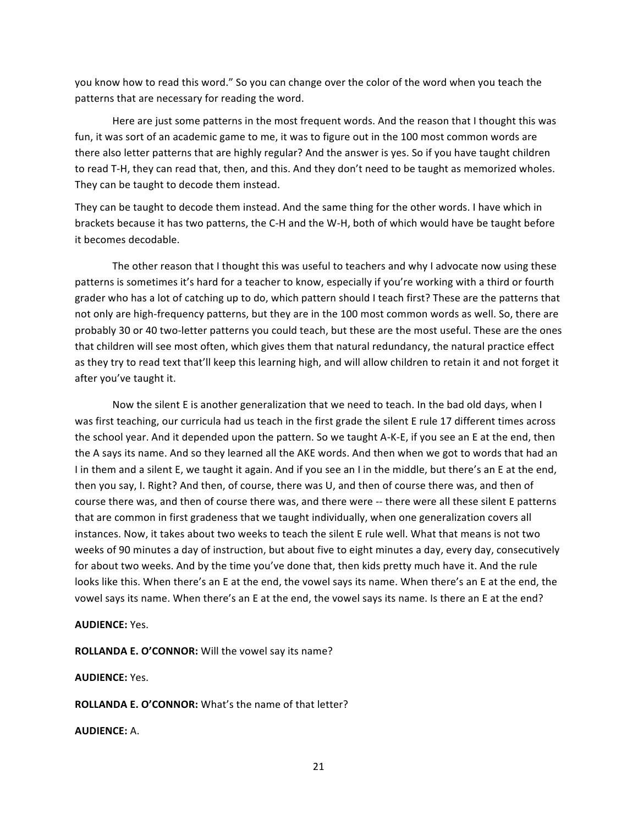you know how to read this word." So you can change over the color of the word when you teach the patterns that are necessary for reading the word.

Here are just some patterns in the most frequent words. And the reason that I thought this was fun, it was sort of an academic game to me, it was to figure out in the 100 most common words are there also letter patterns that are highly regular? And the answer is yes. So if you have taught children to read T-H, they can read that, then, and this. And they don't need to be taught as memorized wholes. They can be taught to decode them instead.

They can be taught to decode them instead. And the same thing for the other words. I have which in brackets because it has two patterns, the C-H and the W-H, both of which would have be taught before it becomes decodable.

The other reason that I thought this was useful to teachers and why I advocate now using these patterns is sometimes it's hard for a teacher to know, especially if you're working with a third or fourth grader who has a lot of catching up to do, which pattern should I teach first? These are the patterns that not only are high-frequency patterns, but they are in the 100 most common words as well. So, there are probably 30 or 40 two-letter patterns you could teach, but these are the most useful. These are the ones that children will see most often, which gives them that natural redundancy, the natural practice effect as they try to read text that'll keep this learning high, and will allow children to retain it and not forget it after you've taught it.

Now the silent E is another generalization that we need to teach. In the bad old days, when I was first teaching, our curricula had us teach in the first grade the silent E rule 17 different times across" the school year. And it depended upon the pattern. So we taught A-K-E, if you see an E at the end, then the A says its name. And so they learned all the AKE words. And then when we got to words that had an I in them and a silent E, we taught it again. And if you see an I in the middle, but there's an E at the end, then you say, I. Right? And then, of course, there was U, and then of course there was, and then of course there was, and then of course there was, and there were -- there were all these silent E patterns that are common in first gradeness that we taught individually, when one generalization covers all instances. Now, it takes about two weeks to teach the silent E rule well. What that means is not two weeks of 90 minutes a day of instruction, but about five to eight minutes a day, every day, consecutively for about two weeks. And by the time you've done that, then kids pretty much have it. And the rule looks like this. When there's an E at the end, the vowel says its name. When there's an E at the end, the vowel says its name. When there's an E at the end, the vowel says its name. Is there an E at the end?

## **AUDIENCE:** Yes.

ROLLANDA E. O'CONNOR: Will the vowel say its name?

**AUDIENCE:** Yes.

**ROLLANDA E. O'CONNOR:** What's the name of that letter?

**AUDIENCE:** A."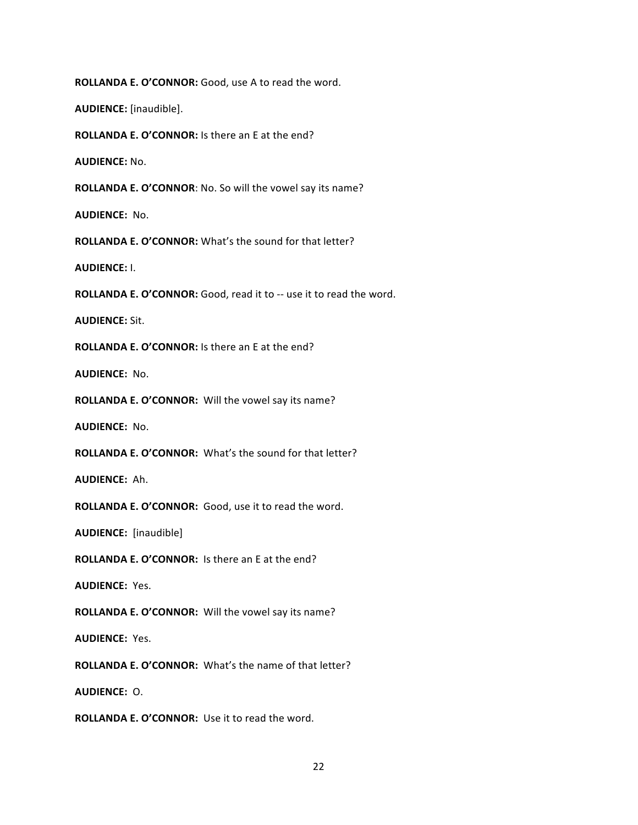**ROLLANDA E. O'CONNOR:** Good, use A to read the word.

**AUDIENCE:** [inaudible].

**ROLLANDA E. O'CONNOR:** Is there an E at the end?

**AUDIENCE:** No.

ROLLANDA E. O'CONNOR: No. So will the vowel say its name?

**AUDIENCE: No.** 

**ROLLANDA E. O'CONNOR:** What's the sound for that letter?

**AUDIENCE:** I.

**ROLLANDA E. O'CONNOR:** Good, read it to -- use it to read the word.

**AUDIENCE: Sit.** 

**ROLLANDA E. O'CONNOR:** Is there an E at the end?

**AUDIENCE: No.** 

ROLLANDA E. O'CONNOR: Will the vowel say its name?

**AUDIENCE: No.** 

ROLLANDA E. O'CONNOR: What's the sound for that letter?

**AUDIENCE: Ah.** 

ROLLANDA E. O'CONNOR: Good, use it to read the word.

**AUDIENCE:** [inaudible]

**ROLLANDA E. O'CONNOR:** Is there an E at the end?

**AUDIENCE: Yes.** 

ROLLANDA E. O'CONNOR: Will the vowel say its name?

**AUDIENCE: Yes.** 

ROLLANDA E. O'CONNOR: What's the name of that letter?

**AUDIENCE: O.** 

**ROLLANDA E. O'CONNOR:** Use it to read the word.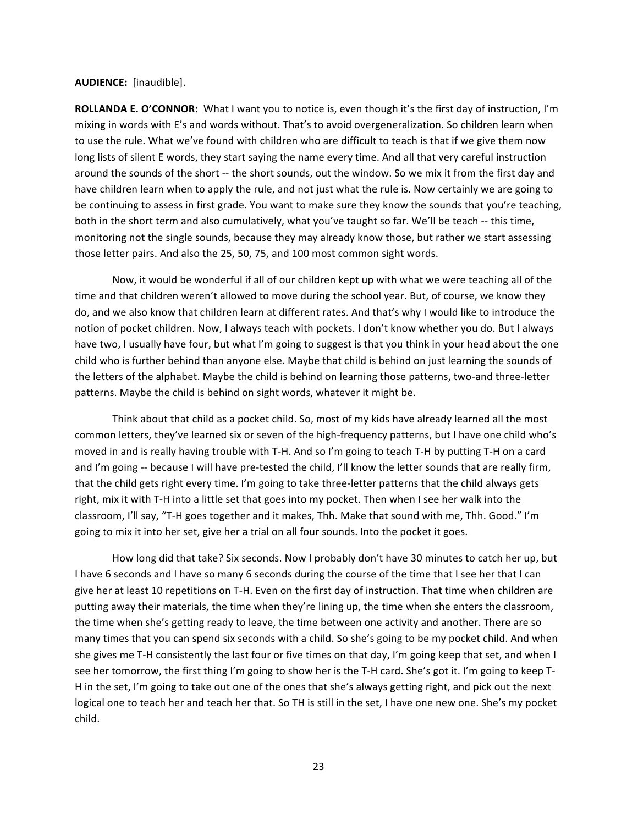#### **AUDIENCE:** [inaudible].

ROLLANDA E. O'CONNOR: What I want you to notice is, even though it's the first day of instruction, I'm mixing in words with E's and words without. That's to avoid overgeneralization. So children learn when to use the rule. What we've found with children who are difficult to teach is that if we give them now long lists of silent E words, they start saying the name every time. And all that very careful instruction around the sounds of the short -- the short sounds, out the window. So we mix it from the first day and have children learn when to apply the rule, and not just what the rule is. Now certainly we are going to be continuing to assess in first grade. You want to make sure they know the sounds that you're teaching, both in the short term and also cumulatively, what you've taught so far. We'll be teach -- this time, monitoring not the single sounds, because they may already know those, but rather we start assessing those letter pairs. And also the 25, 50, 75, and 100 most common sight words.

Now, it would be wonderful if all of our children kept up with what we were teaching all of the time and that children weren't allowed to move during the school year. But, of course, we know they do, and we also know that children learn at different rates. And that's why I would like to introduce the notion of pocket children. Now, I always teach with pockets. I don't know whether you do. But I always have two, I usually have four, but what I'm going to suggest is that you think in your head about the one child who is further behind than anyone else. Maybe that child is behind on just learning the sounds of the letters of the alphabet. Maybe the child is behind on learning those patterns, two-and three-letter patterns. Maybe the child is behind on sight words, whatever it might be.

Think about that child as a pocket child. So, most of my kids have already learned all the most common letters, they've learned six or seven of the high-frequency patterns, but I have one child who's moved in and is really having trouble with T-H. And so I'm going to teach T-H by putting T-H on a card and I'm going -- because I will have pre-tested the child, I'll know the letter sounds that are really firm, that the child gets right every time. I'm going to take three-letter patterns that the child always gets right, mix it with T-H into a little set that goes into my pocket. Then when I see her walk into the classroom, I'll say, "T-H goes together and it makes, Thh. Make that sound with me, Thh. Good." I'm going to mix it into her set, give her a trial on all four sounds. Into the pocket it goes.

How long did that take? Six seconds. Now I probably don't have 30 minutes to catch her up, but I have 6 seconds and I have so many 6 seconds during the course of the time that I see her that I can give her at least 10 repetitions on T-H. Even on the first day of instruction. That time when children are putting away their materials, the time when they're lining up, the time when she enters the classroom, the time when she's getting ready to leave, the time between one activity and another. There are so many times that you can spend six seconds with a child. So she's going to be my pocket child. And when she gives me T-H consistently the last four or five times on that day, I'm going keep that set, and when I see her tomorrow, the first thing I'm going to show her is the T-H card. She's got it. I'm going to keep T-H in the set, I'm going to take out one of the ones that she's always getting right, and pick out the next logical one to teach her and teach her that. So TH is still in the set, I have one new one. She's my pocket child."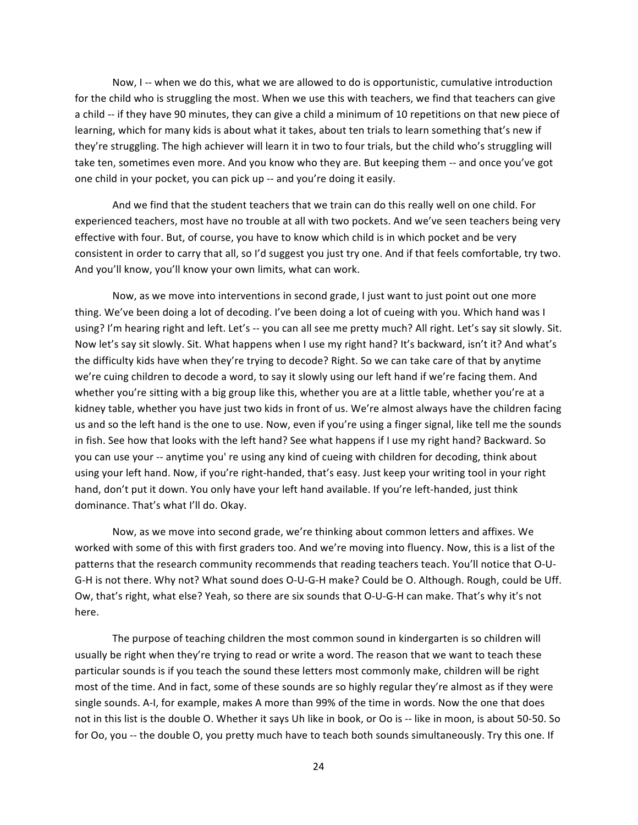Now, I -- when we do this, what we are allowed to do is opportunistic, cumulative introduction for the child who is struggling the most. When we use this with teachers, we find that teachers can give a child -- if they have 90 minutes, they can give a child a minimum of 10 repetitions on that new piece of learning, which for many kids is about what it takes, about ten trials to learn something that's new if they're struggling. The high achiever will learn it in two to four trials, but the child who's struggling will take ten, sometimes even more. And you know who they are. But keeping them -- and once you've got one child in your pocket, you can pick up -- and you're doing it easily.

And we find that the student teachers that we train can do this really well on one child. For experienced teachers, most have no trouble at all with two pockets. And we've seen teachers being very effective with four. But, of course, you have to know which child is in which pocket and be very consistent in order to carry that all, so I'd suggest you just try one. And if that feels comfortable, try two. And you'll know, you'll know your own limits, what can work.

Now, as we move into interventions in second grade, I just want to just point out one more thing. We've been doing a lot of decoding. I've been doing a lot of cueing with you. Which hand was I using? I'm hearing right and left. Let's -- you can all see me pretty much? All right. Let's say sit slowly. Sit. Now let's say sit slowly. Sit. What happens when I use my right hand? It's backward, isn't it? And what's the difficulty kids have when they're trying to decode? Right. So we can take care of that by anytime we're cuing children to decode a word, to say it slowly using our left hand if we're facing them. And whether you're sitting with a big group like this, whether you are at a little table, whether you're at a kidney table, whether you have just two kids in front of us. We're almost always have the children facing us and so the left hand is the one to use. Now, even if you're using a finger signal, like tell me the sounds in fish. See how that looks with the left hand? See what happens if I use my right hand? Backward. So you can use your -- anytime you' re using any kind of cueing with children for decoding, think about using your left hand. Now, if you're right-handed, that's easy. Just keep your writing tool in your right hand, don't put it down. You only have your left hand available. If you're left-handed, just think dominance. That's what I'll do. Okay.

Now, as we move into second grade, we're thinking about common letters and affixes. We worked with some of this with first graders too. And we're moving into fluency. Now, this is a list of the patterns that the research community recommends that reading teachers teach. You'll notice that O-U-G-H is not there. Why not? What sound does O-U-G-H make? Could be O. Although. Rough, could be Uff. Ow, that's right, what else? Yeah, so there are six sounds that O-U-G-H can make. That's why it's not here.

The purpose of teaching children the most common sound in kindergarten is so children will usually be right when they're trying to read or write a word. The reason that we want to teach these particular sounds is if you teach the sound these letters most commonly make, children will be right most of the time. And in fact, some of these sounds are so highly regular they're almost as if they were single sounds. A-I, for example, makes A more than 99% of the time in words. Now the one that does not in this list is the double O. Whether it says Uh like in book, or Oo is -- like in moon, is about 50-50. So for Oo, you -- the double O, you pretty much have to teach both sounds simultaneously. Try this one. If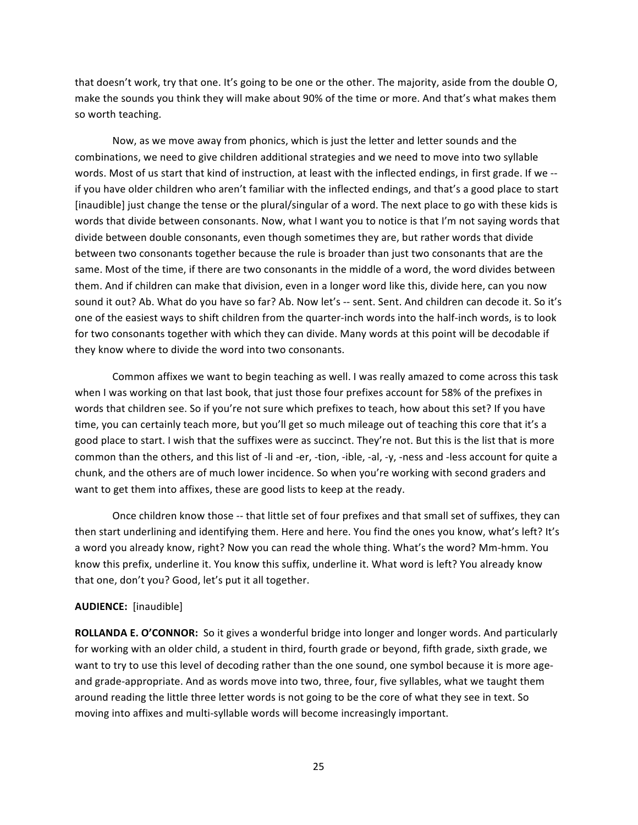that doesn't work, try that one. It's going to be one or the other. The majority, aside from the double O, make the sounds you think they will make about 90% of the time or more. And that's what makes them so worth teaching.

Now, as we move away from phonics, which is just the letter and letter sounds and the combinations, we need to give children additional strategies and we need to move into two syllable words. Most of us start that kind of instruction, at least with the inflected endings, in first grade. If we  $$ if you have older children who aren't familiar with the inflected endings, and that's a good place to start [inaudible] just change the tense or the plural/singular of a word. The next place to go with these kids is words that divide between consonants. Now, what I want you to notice is that I'm not saying words that divide between double consonants, even though sometimes they are, but rather words that divide between two consonants together because the rule is broader than just two consonants that are the same. Most of the time, if there are two consonants in the middle of a word, the word divides between them. And if children can make that division, even in a longer word like this, divide here, can you now sound it out? Ab. What do you have so far? Ab. Now let's -- sent. Sent. And children can decode it. So it's one of the easiest ways to shift children from the quarter-inch words into the half-inch words, is to look for two consonants together with which they can divide. Many words at this point will be decodable if they know where to divide the word into two consonants.

Common affixes we want to begin teaching as well. I was really amazed to come across this task when I was working on that last book, that just those four prefixes account for 58% of the prefixes in words that children see. So if you're not sure which prefixes to teach, how about this set? If you have time, you can certainly teach more, but you'll get so much mileage out of teaching this core that it's a good place to start. I wish that the suffixes were as succinct. They're not. But this is the list that is more common than the others, and this list of -li and -er, -tion, -ible, -al, -y, -ness and -less account for quite a chunk, and the others are of much lower incidence. So when you're working with second graders and want to get them into affixes, these are good lists to keep at the ready.

Once children know those -- that little set of four prefixes and that small set of suffixes, they can then start underlining and identifying them. Here and here. You find the ones you know, what's left? It's a word you already know, right? Now you can read the whole thing. What's the word? Mm-hmm. You know this prefix, underline it. You know this suffix, underline it. What word is left? You already know that one, don't you? Good, let's put it all together.

### **AUDIENCE:** [inaudible]

ROLLANDA E. O'CONNOR: So it gives a wonderful bridge into longer and longer words. And particularly for working with an older child, a student in third, fourth grade or beyond, fifth grade, sixth grade, we want to try to use this level of decoding rather than the one sound, one symbol because it is more ageand grade-appropriate. And as words move into two, three, four, five syllables, what we taught them around reading the little three letter words is not going to be the core of what they see in text. So moving into affixes and multi-syllable words will become increasingly important.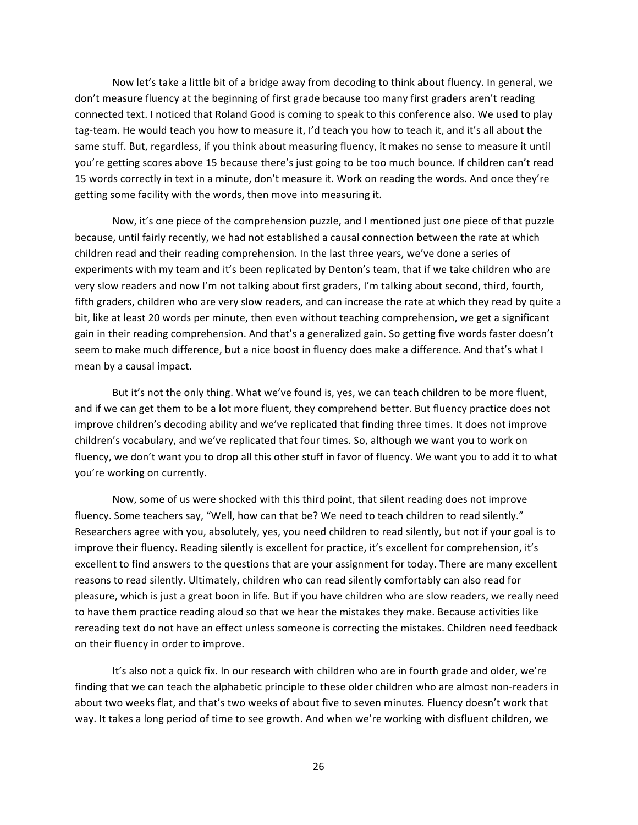Now let's take a little bit of a bridge away from decoding to think about fluency. In general, we don't measure fluency at the beginning of first grade because too many first graders aren't reading connected text. I noticed that Roland Good is coming to speak to this conference also. We used to play tag-team. He would teach you how to measure it, I'd teach you how to teach it, and it's all about the same stuff. But, regardless, if you think about measuring fluency, it makes no sense to measure it until you're getting scores above 15 because there's just going to be too much bounce. If children can't read 15 words correctly in text in a minute, don't measure it. Work on reading the words. And once they're getting some facility with the words, then move into measuring it.

Now, it's one piece of the comprehension puzzle, and I mentioned just one piece of that puzzle because, until fairly recently, we had not established a causal connection between the rate at which children read and their reading comprehension. In the last three years, we've done a series of experiments with my team and it's been replicated by Denton's team, that if we take children who are very slow readers and now I'm not talking about first graders, I'm talking about second, third, fourth, fifth graders, children who are very slow readers, and can increase the rate at which they read by quite a bit, like at least 20 words per minute, then even without teaching comprehension, we get a significant gain in their reading comprehension. And that's a generalized gain. So getting five words faster doesn't seem to make much difference, but a nice boost in fluency does make a difference. And that's what I mean by a causal impact.

But it's not the only thing. What we've found is, yes, we can teach children to be more fluent, and if we can get them to be a lot more fluent, they comprehend better. But fluency practice does not improve children's decoding ability and we've replicated that finding three times. It does not improve children's vocabulary, and we've replicated that four times. So, although we want you to work on fluency, we don't want you to drop all this other stuff in favor of fluency. We want you to add it to what you're working on currently.

Now, some of us were shocked with this third point, that silent reading does not improve fluency. Some teachers say, "Well, how can that be? We need to teach children to read silently." Researchers agree with you, absolutely, yes, you need children to read silently, but not if your goal is to improve their fluency. Reading silently is excellent for practice, it's excellent for comprehension, it's excellent to find answers to the questions that are your assignment for today. There are many excellent reasons to read silently. Ultimately, children who can read silently comfortably can also read for pleasure, which is just a great boon in life. But if you have children who are slow readers, we really need to have them practice reading aloud so that we hear the mistakes they make. Because activities like rereading text do not have an effect unless someone is correcting the mistakes. Children need feedback on their fluency in order to improve.

It's also not a quick fix. In our research with children who are in fourth grade and older, we're finding that we can teach the alphabetic principle to these older children who are almost non-readers in about two weeks flat, and that's two weeks of about five to seven minutes. Fluency doesn't work that way. It takes a long period of time to see growth. And when we're working with disfluent children, we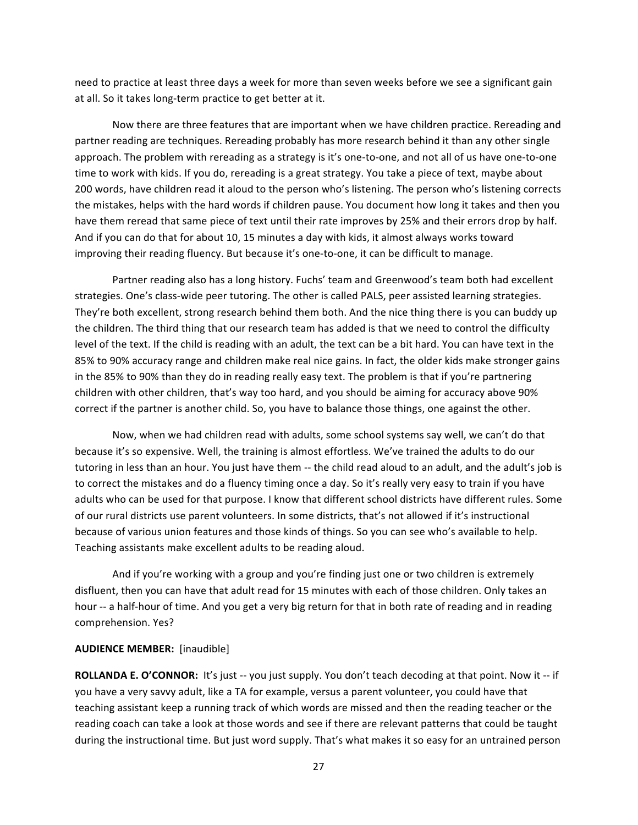need to practice at least three days a week for more than seven weeks before we see a significant gain at all. So it takes long-term practice to get better at it.

Now there are three features that are important when we have children practice. Rereading and partner reading are techniques. Rereading probably has more research behind it than any other single approach. The problem with rereading as a strategy is it's one-to-one, and not all of us have one-to-one time to work with kids. If you do, rereading is a great strategy. You take a piece of text, maybe about 200 words, have children read it aloud to the person who's listening. The person who's listening corrects the mistakes, helps with the hard words if children pause. You document how long it takes and then you have them reread that same piece of text until their rate improves by 25% and their errors drop by half. And if you can do that for about 10, 15 minutes a day with kids, it almost always works toward improving their reading fluency. But because it's one-to-one, it can be difficult to manage.

Partner reading also has a long history. Fuchs' team and Greenwood's team both had excellent strategies. One's class-wide peer tutoring. The other is called PALS, peer assisted learning strategies. They're both excellent, strong research behind them both. And the nice thing there is you can buddy up the children. The third thing that our research team has added is that we need to control the difficulty level of the text. If the child is reading with an adult, the text can be a bit hard. You can have text in the 85% to 90% accuracy range and children make real nice gains. In fact, the older kids make stronger gains in the 85% to 90% than they do in reading really easy text. The problem is that if you're partnering children with other children, that's way too hard, and you should be aiming for accuracy above 90% correct if the partner is another child. So, you have to balance those things, one against the other.

Now, when we had children read with adults, some school systems say well, we can't do that because it's so expensive. Well, the training is almost effortless. We've trained the adults to do our tutoring in less than an hour. You just have them -- the child read aloud to an adult, and the adult's job is to correct the mistakes and do a fluency timing once a day. So it's really very easy to train if you have adults who can be used for that purpose. I know that different school districts have different rules. Some of our rural districts use parent volunteers. In some districts, that's not allowed if it's instructional because of various union features and those kinds of things. So you can see who's available to help. Teaching assistants make excellent adults to be reading aloud.

And if you're working with a group and you're finding just one or two children is extremely disfluent, then you can have that adult read for 15 minutes with each of those children. Only takes an hour -- a half-hour of time. And you get a very big return for that in both rate of reading and in reading comprehension. Yes?

#### **AUDIENCE MEMBER:** [inaudible]

**ROLLANDA E. O'CONNOR:** It's just -- you just supply. You don't teach decoding at that point. Now it -- if you have a very savvy adult, like a TA for example, versus a parent volunteer, you could have that teaching assistant keep a running track of which words are missed and then the reading teacher or the reading coach can take a look at those words and see if there are relevant patterns that could be taught during the instructional time. But just word supply. That's what makes it so easy for an untrained person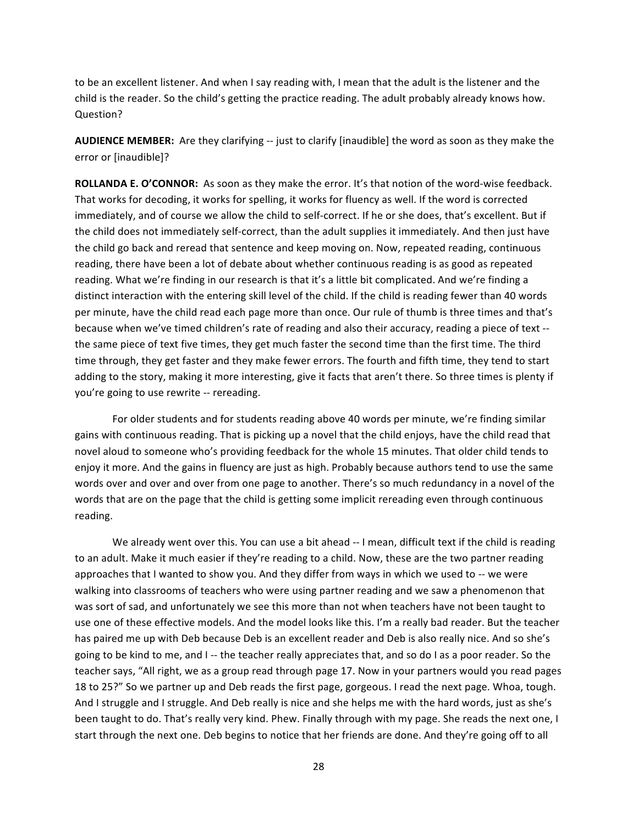to be an excellent listener. And when I say reading with, I mean that the adult is the listener and the child is the reader. So the child's getting the practice reading. The adult probably already knows how. Question?

**AUDIENCE MEMBER:** Are they clarifying -- just to clarify [inaudible] the word as soon as they make the error or [inaudible]?

**ROLLANDA E. O'CONNOR:** As soon as they make the error. It's that notion of the word-wise feedback. That works for decoding, it works for spelling, it works for fluency as well. If the word is corrected immediately, and of course we allow the child to self-correct. If he or she does, that's excellent. But if the child does not immediately self-correct, than the adult supplies it immediately. And then just have the child go back and reread that sentence and keep moving on. Now, repeated reading, continuous reading, there have been a lot of debate about whether continuous reading is as good as repeated reading. What we're finding in our research is that it's a little bit complicated. And we're finding a distinct interaction with the entering skill level of the child. If the child is reading fewer than 40 words per minute, have the child read each page more than once. Our rule of thumb is three times and that's because when we've timed children's rate of reading and also their accuracy, reading a piece of text -the same piece of text five times, they get much faster the second time than the first time. The third time through, they get faster and they make fewer errors. The fourth and fifth time, they tend to start adding to the story, making it more interesting, give it facts that aren't there. So three times is plenty if you're going to use rewrite -- rereading.

For older students and for students reading above 40 words per minute, we're finding similar gains with continuous reading. That is picking up a novel that the child enjoys, have the child read that novel aloud to someone who's providing feedback for the whole 15 minutes. That older child tends to enjoy it more. And the gains in fluency are just as high. Probably because authors tend to use the same words over and over and over from one page to another. There's so much redundancy in a novel of the words that are on the page that the child is getting some implicit rereading even through continuous reading.

We already went over this. You can use a bit ahead -- I mean, difficult text if the child is reading to an adult. Make it much easier if they're reading to a child. Now, these are the two partner reading approaches that I wanted to show you. And they differ from ways in which we used to -- we were walking into classrooms of teachers who were using partner reading and we saw a phenomenon that was sort of sad, and unfortunately we see this more than not when teachers have not been taught to use one of these effective models. And the model looks like this. I'm a really bad reader. But the teacher has paired me up with Deb because Deb is an excellent reader and Deb is also really nice. And so she's going to be kind to me, and I-- the teacher really appreciates that, and so do I as a poor reader. So the teacher says, "All right, we as a group read through page 17. Now in your partners would you read pages 18 to 25?" So we partner up and Deb reads the first page, gorgeous. I read the next page. Whoa, tough. And I struggle and I struggle. And Deb really is nice and she helps me with the hard words, just as she's been taught to do. That's really very kind. Phew. Finally through with my page. She reads the next one, I start through the next one. Deb begins to notice that her friends are done. And they're going off to all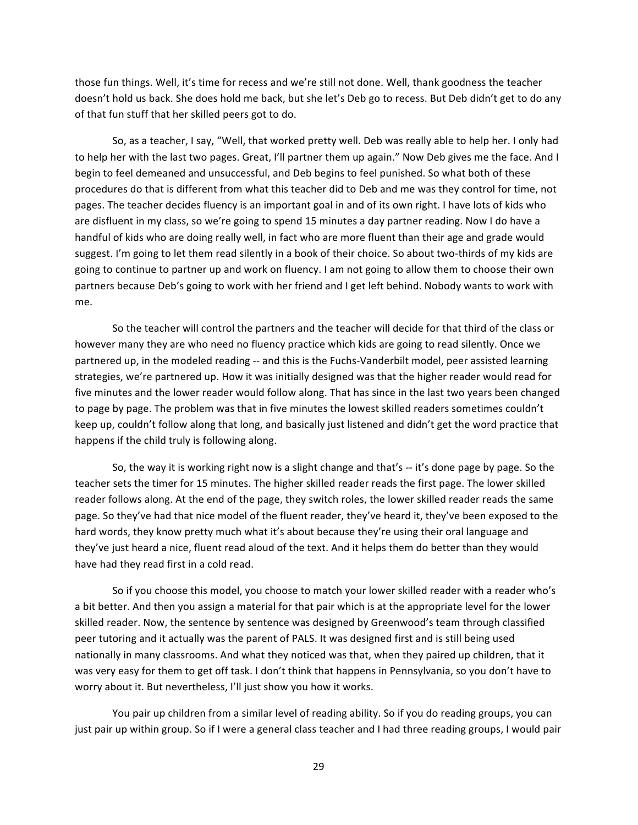those fun things. Well, it's time for recess and we're still not done. Well, thank goodness the teacher doesn't hold us back. She does hold me back, but she let's Deb go to recess. But Deb didn't get to do any of that fun stuff that her skilled peers got to do.

So, as a teacher, I say, "Well, that worked pretty well. Deb was really able to help her. I only had to help her with the last two pages. Great, I'll partner them up again." Now Deb gives me the face. And I begin to feel demeaned and unsuccessful, and Deb begins to feel punished. So what both of these procedures do that is different from what this teacher did to Deb and me was they control for time, not pages. The teacher decides fluency is an important goal in and of its own right. I have lots of kids who are disfluent in my class, so we're going to spend 15 minutes a day partner reading. Now I do have a handful of kids who are doing really well, in fact who are more fluent than their age and grade would suggest. I'm going to let them read silently in a book of their choice. So about two-thirds of my kids are going to continue to partner up and work on fluency. I am not going to allow them to choose their own partners because Deb's going to work with her friend and I get left behind. Nobody wants to work with me.

So the teacher will control the partners and the teacher will decide for that third of the class or however many they are who need no fluency practice which kids are going to read silently. Once we partnered up, in the modeled reading -- and this is the Fuchs-Vanderbilt model, peer assisted learning strategies, we're partnered up. How it was initially designed was that the higher reader would read for five minutes and the lower reader would follow along. That has since in the last two years been changed to page by page. The problem was that in five minutes the lowest skilled readers sometimes couldn't keep up, couldn't follow along that long, and basically just listened and didn't get the word practice that happens if the child truly is following along.

So, the way it is working right now is a slight change and that's -- it's done page by page. So the teacher sets the timer for 15 minutes. The higher skilled reader reads the first page. The lower skilled reader follows along. At the end of the page, they switch roles, the lower skilled reader reads the same page. So they've had that nice model of the fluent reader, they've heard it, they've been exposed to the hard words, they know pretty much what it's about because they're using their oral language and they've just heard a nice, fluent read aloud of the text. And it helps them do better than they would have had they read first in a cold read.

So if you choose this model, you choose to match your lower skilled reader with a reader who's a bit better. And then you assign a material for that pair which is at the appropriate level for the lower skilled reader. Now, the sentence by sentence was designed by Greenwood's team through classified peer tutoring and it actually was the parent of PALS. It was designed first and is still being used nationally in many classrooms. And what they noticed was that, when they paired up children, that it was very easy for them to get off task. I don't think that happens in Pennsylvania, so you don't have to worry about it. But nevertheless, I'll just show you how it works.

You pair up children from a similar level of reading ability. So if you do reading groups, you can just pair up within group. So if I were a general class teacher and I had three reading groups, I would pair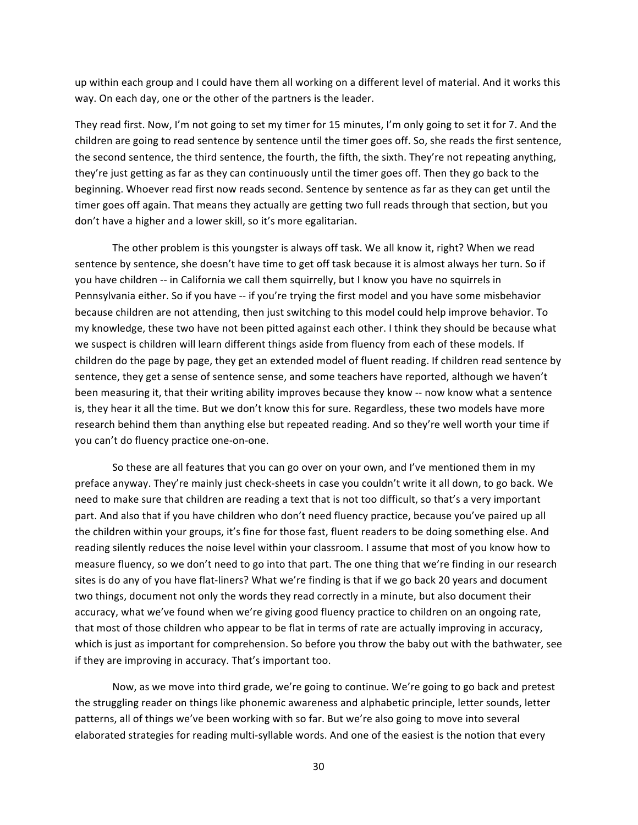up within each group and I could have them all working on a different level of material. And it works this way. On each day, one or the other of the partners is the leader.

They read first. Now, I'm not going to set my timer for 15 minutes, I'm only going to set it for 7. And the children are going to read sentence by sentence until the timer goes off. So, she reads the first sentence, the second sentence, the third sentence, the fourth, the fifth, the sixth. They're not repeating anything, they're just getting as far as they can continuously until the timer goes off. Then they go back to the beginning. Whoever read first now reads second. Sentence by sentence as far as they can get until the timer goes off again. That means they actually are getting two full reads through that section, but you don't have a higher and a lower skill, so it's more egalitarian.

The other problem is this youngster is always off task. We all know it, right? When we read sentence by sentence, she doesn't have time to get off task because it is almost always her turn. So if you have children -- in California we call them squirrelly, but I know you have no squirrels in Pennsylvania either. So if you have -- if you're trying the first model and you have some misbehavior because children are not attending, then just switching to this model could help improve behavior. To my knowledge, these two have not been pitted against each other. I think they should be because what we suspect is children will learn different things aside from fluency from each of these models. If children do the page by page, they get an extended model of fluent reading. If children read sentence by sentence, they get a sense of sentence sense, and some teachers have reported, although we haven't been measuring it, that their writing ability improves because they know -- now know what a sentence is, they hear it all the time. But we don't know this for sure. Regardless, these two models have more research behind them than anything else but repeated reading. And so they're well worth your time if you can't do fluency practice one-on-one.

So these are all features that you can go over on your own, and I've mentioned them in my preface anyway. They're mainly just check-sheets in case you couldn't write it all down, to go back. We need to make sure that children are reading a text that is not too difficult, so that's a very important part. And also that if you have children who don't need fluency practice, because you've paired up all the children within your groups, it's fine for those fast, fluent readers to be doing something else. And reading silently reduces the noise level within your classroom. I assume that most of you know how to measure fluency, so we don't need to go into that part. The one thing that we're finding in our research sites is do any of you have flat-liners? What we're finding is that if we go back 20 years and document two things, document not only the words they read correctly in a minute, but also document their accuracy, what we've found when we're giving good fluency practice to children on an ongoing rate, that most of those children who appear to be flat in terms of rate are actually improving in accuracy, which is just as important for comprehension. So before you throw the baby out with the bathwater, see" if they are improving in accuracy. That's important too.

Now, as we move into third grade, we're going to continue. We're going to go back and pretest the struggling reader on things like phonemic awareness and alphabetic principle, letter sounds, letter patterns, all of things we've been working with so far. But we're also going to move into several elaborated strategies for reading multi-syllable words. And one of the easiest is the notion that every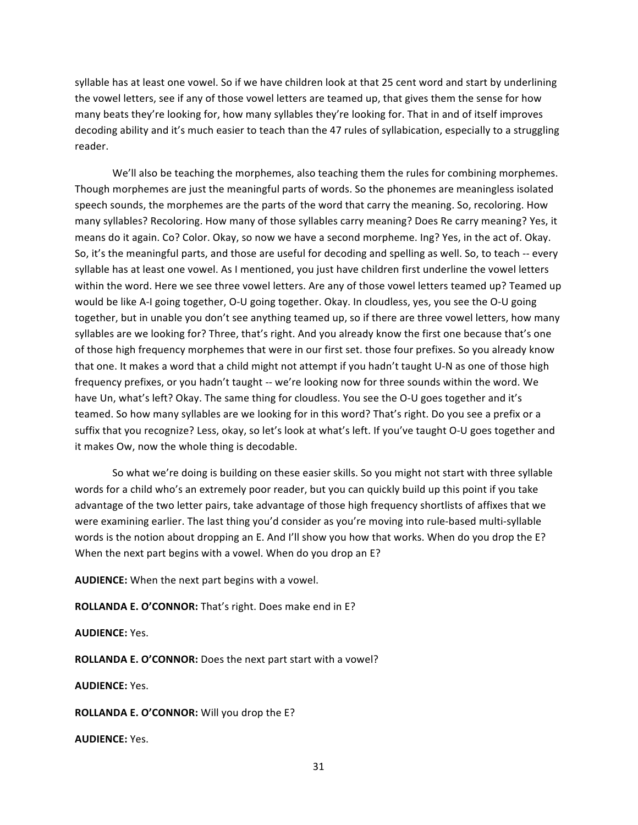syllable has at least one vowel. So if we have children look at that 25 cent word and start by underlining the vowel letters, see if any of those vowel letters are teamed up, that gives them the sense for how many beats they're looking for, how many syllables they're looking for. That in and of itself improves decoding ability and it's much easier to teach than the 47 rules of syllabication, especially to a struggling reader.

We'll also be teaching the morphemes, also teaching them the rules for combining morphemes. Though morphemes are just the meaningful parts of words. So the phonemes are meaningless isolated speech sounds, the morphemes are the parts of the word that carry the meaning. So, recoloring. How many syllables? Recoloring. How many of those syllables carry meaning? Does Re carry meaning? Yes, it means do it again. Co? Color. Okay, so now we have a second morpheme. Ing? Yes, in the act of. Okay. So, it's the meaningful parts, and those are useful for decoding and spelling as well. So, to teach -- every syllable has at least one vowel. As I mentioned, you just have children first underline the vowel letters within the word. Here we see three vowel letters. Are any of those vowel letters teamed up? Teamed up would be like A-I going together, O-U going together. Okay. In cloudless, yes, you see the O-U going together, but in unable you don't see anything teamed up, so if there are three vowel letters, how many syllables are we looking for? Three, that's right. And you already know the first one because that's one of those high frequency morphemes that were in our first set. those four prefixes. So you already know that one. It makes a word that a child might not attempt if you hadn't taught U-N as one of those high frequency prefixes, or you hadn't taught -- we're looking now for three sounds within the word. We have Un, what's left? Okay. The same thing for cloudless. You see the O-U goes together and it's teamed. So how many syllables are we looking for in this word? That's right. Do you see a prefix or a suffix that you recognize? Less, okay, so let's look at what's left. If you've taught O-U goes together and it makes Ow, now the whole thing is decodable.

So what we're doing is building on these easier skills. So you might not start with three syllable words for a child who's an extremely poor reader, but you can quickly build up this point if you take advantage of the two letter pairs, take advantage of those high frequency shortlists of affixes that we were examining earlier. The last thing you'd consider as you're moving into rule-based multi-syllable words is the notion about dropping an E. And I'll show you how that works. When do you drop the E? When the next part begins with a vowel. When do you drop an E?

**AUDIENCE:** When the next part begins with a vowel.

ROLLANDA E. O'CONNOR: That's right. Does make end in E?

## **AUDIENCE:** Yes.

**ROLLANDA E. O'CONNOR:** Does the next part start with a vowel?

**AUDIENCE:** Yes."

ROLLANDA E. O'CONNOR: Will you drop the E?

**AUDIENCE:** Yes."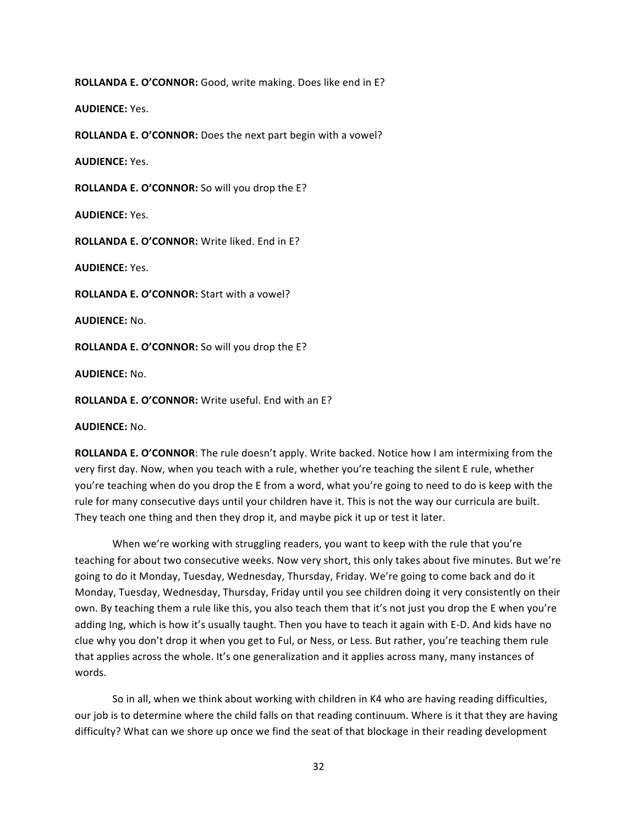**ROLLANDA E. O'CONNOR:** Good, write making. Does like end in E?

**AUDIENCE:** Yes."

**ROLLANDA E. O'CONNOR:** Does the next part begin with a vowel?

**AUDIENCE:** Yes."

ROLLANDA E. O'CONNOR: So will you drop the E?

**AUDIENCE:** Yes."

ROLLANDA E. O'CONNOR: Write liked. End in E?

**AUDIENCE:** Yes.

**ROLLANDA E. O'CONNOR:** Start with a vowel?

**AUDIENCE:** No.

ROLLANDA E. O'CONNOR: So will you drop the E?

**AUDIENCE:** No."

ROLLANDA E. O'CONNOR: Write useful. End with an E?

**AUDIENCE:** No.

**ROLLANDA E. O'CONNOR:** The rule doesn't apply. Write backed. Notice how I am intermixing from the very first day. Now, when you teach with a rule, whether you're teaching the silent E rule, whether you're teaching when do you drop the E from a word, what you're going to need to do is keep with the rule for many consecutive days until your children have it. This is not the way our curricula are built. They teach one thing and then they drop it, and maybe pick it up or test it later.

When we're working with struggling readers, you want to keep with the rule that you're teaching for about two consecutive weeks. Now very short, this only takes about five minutes. But we're going to do it Monday, Tuesday, Wednesday, Thursday, Friday. We're going to come back and do it Monday, Tuesday, Wednesday, Thursday, Friday until you see children doing it very consistently on their own. By teaching them a rule like this, you also teach them that it's not just you drop the E when you're adding Ing, which is how it's usually taught. Then you have to teach it again with E-D. And kids have no clue why you don't drop it when you get to Ful, or Ness, or Less. But rather, you're teaching them rule that applies across the whole. It's one generalization and it applies across many, many instances of words.

So in all, when we think about working with children in K4 who are having reading difficulties, our job is to determine where the child falls on that reading continuum. Where is it that they are having difficulty? What can we shore up once we find the seat of that blockage in their reading development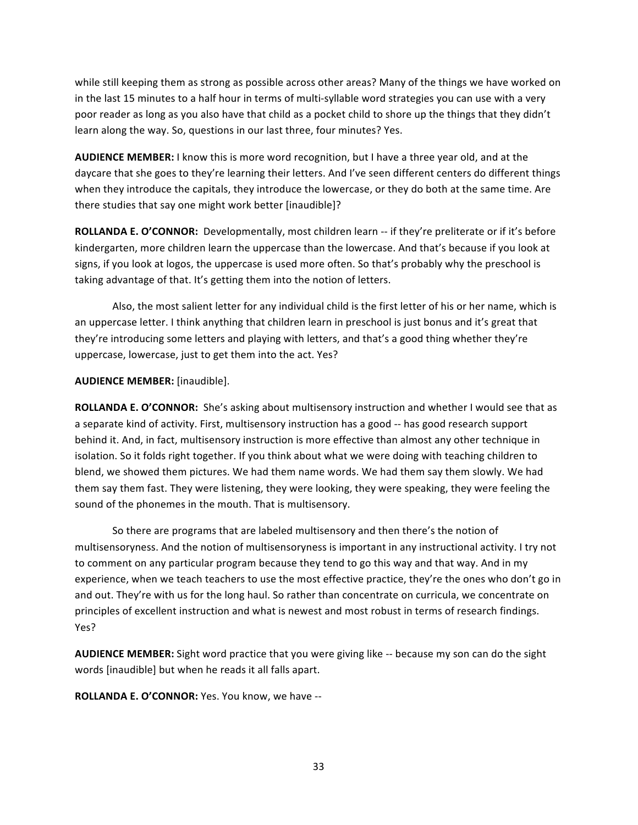while still keeping them as strong as possible across other areas? Many of the things we have worked on in the last 15 minutes to a half hour in terms of multi-syllable word strategies you can use with a very poor reader as long as you also have that child as a pocket child to shore up the things that they didn't learn along the way. So, questions in our last three, four minutes? Yes.

**AUDIENCE MEMBER:** I know this is more word recognition, but I have a three year old, and at the daycare that she goes to they're learning their letters. And I've seen different centers do different things" when they introduce the capitals, they introduce the lowercase, or they do both at the same time. Are there studies that say one might work better [inaudible]?

ROLLANDA E. O'CONNOR: Developmentally, most children learn -- if they're preliterate or if it's before kindergarten, more children learn the uppercase than the lowercase. And that's because if you look at signs, if you look at logos, the uppercase is used more often. So that's probably why the preschool is taking advantage of that. It's getting them into the notion of letters.

Also, the most salient letter for any individual child is the first letter of his or her name, which is an uppercase letter. I think anything that children learn in preschool is just bonus and it's great that they're introducing some letters and playing with letters, and that's a good thing whether they're uppercase, lowercase, just to get them into the act. Yes?

**AUDIENCE MEMBER:** [inaudible].

**ROLLANDA E. O'CONNOR:** She's asking about multisensory instruction and whether I would see that as a separate kind of activity. First, multisensory instruction has a good -- has good research support behind it. And, in fact, multisensory instruction is more effective than almost any other technique in isolation. So it folds right together. If you think about what we were doing with teaching children to blend, we showed them pictures. We had them name words. We had them say them slowly. We had them say them fast. They were listening, they were looking, they were speaking, they were feeling the sound of the phonemes in the mouth. That is multisensory.

So there are programs that are labeled multisensory and then there's the notion of multisensoryness. And the notion of multisensoryness is important in any instructional activity. I try not to comment on any particular program because they tend to go this way and that way. And in my experience, when we teach teachers to use the most effective practice, they're the ones who don't go in and out. They're with us for the long haul. So rather than concentrate on curricula, we concentrate on principles of excellent instruction and what is newest and most robust in terms of research findings. Yes?

AUDIENCE MEMBER: Sight word practice that you were giving like -- because my son can do the sight words [inaudible] but when he reads it all falls apart.

ROLLANDA E. O'CONNOR: Yes. You know, we have --